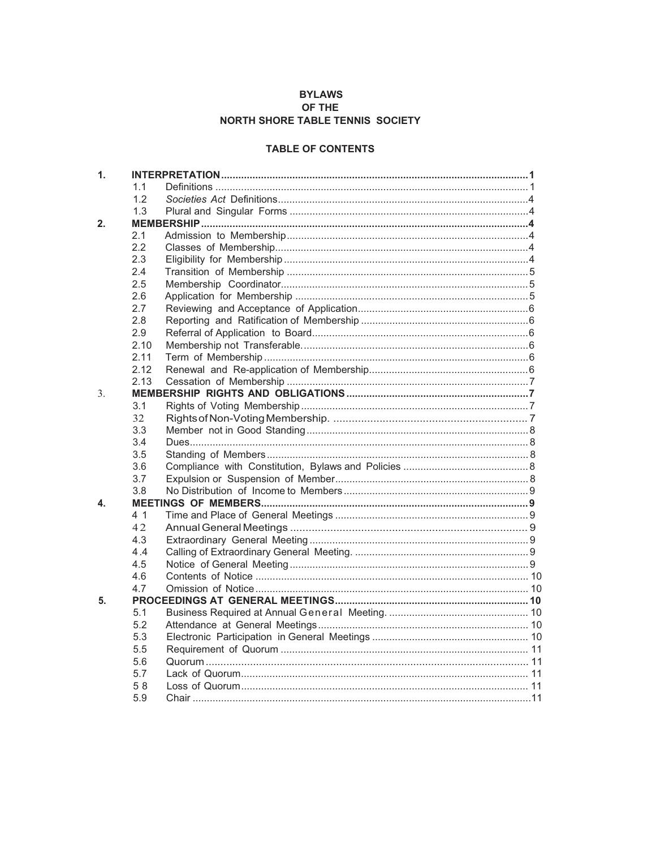## **BYLAWS** OF THE NORTH SHORE TABLE TENNIS SOCIETY

## **TABLE OF CONTENTS**

| $\mathbf{1}$ . |      |  |  |
|----------------|------|--|--|
|                | 1.1  |  |  |
|                | 1.2  |  |  |
|                | 1.3  |  |  |
| 2.             |      |  |  |
|                | 2.1  |  |  |
|                | 2.2  |  |  |
|                | 2.3  |  |  |
|                | 2.4  |  |  |
|                | 2.5  |  |  |
|                | 2.6  |  |  |
|                | 2.7  |  |  |
|                | 2.8  |  |  |
|                | 2.9  |  |  |
|                | 2.10 |  |  |
|                | 2.11 |  |  |
|                | 2.12 |  |  |
|                | 2.13 |  |  |
| 3.             |      |  |  |
|                | 3.1  |  |  |
|                | 32   |  |  |
|                | 3.3  |  |  |
|                | 3.4  |  |  |
|                | 3.5  |  |  |
|                | 3.6  |  |  |
|                | 3.7  |  |  |
|                | 3.8  |  |  |
| 4.             |      |  |  |
|                | 4 1  |  |  |
|                | 42   |  |  |
|                | 4.3  |  |  |
|                | 4.4  |  |  |
|                | 4.5  |  |  |
|                | 4.6  |  |  |
|                | 4.7  |  |  |
| 5.             |      |  |  |
|                | 5.1  |  |  |
|                | 5.2  |  |  |
|                | 5.3  |  |  |
|                | 5.5  |  |  |
|                | 5.6  |  |  |
|                | 5.7  |  |  |
|                | 58   |  |  |
|                | 5.9  |  |  |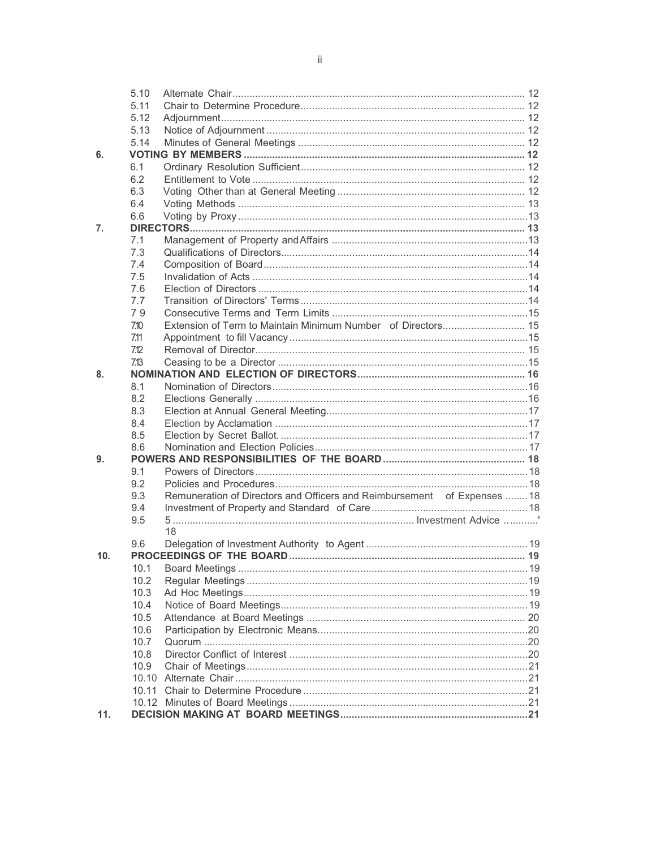|     | 5.10 |                                                                          |  |
|-----|------|--------------------------------------------------------------------------|--|
|     | 5.11 |                                                                          |  |
|     | 5.12 |                                                                          |  |
|     | 5.13 |                                                                          |  |
|     | 5.14 |                                                                          |  |
| 6.  |      |                                                                          |  |
|     | 6.1  |                                                                          |  |
|     | 6.2  |                                                                          |  |
|     | 6.3  |                                                                          |  |
|     | 6.4  |                                                                          |  |
|     | 6.6  |                                                                          |  |
| 7.  |      |                                                                          |  |
|     | 7.1  |                                                                          |  |
|     | 7.3  |                                                                          |  |
|     | 7.4  |                                                                          |  |
|     | 7.5  |                                                                          |  |
|     | 7.6  |                                                                          |  |
|     | 7.7  |                                                                          |  |
|     | 79   |                                                                          |  |
|     | 7.10 |                                                                          |  |
|     | 7.11 |                                                                          |  |
|     | 7.12 |                                                                          |  |
|     | 7.13 |                                                                          |  |
| 8.  |      |                                                                          |  |
|     | 8.1  |                                                                          |  |
|     | 8.2  |                                                                          |  |
|     | 8.3  |                                                                          |  |
|     | 8.4  |                                                                          |  |
|     | 8.5  |                                                                          |  |
|     | 8.6  |                                                                          |  |
| 9.  |      |                                                                          |  |
|     | 9.1  |                                                                          |  |
|     | 9.2  |                                                                          |  |
|     | 9.3  | Remuneration of Directors and Officers and Reimbursement of Expenses  18 |  |
|     | 9.4  |                                                                          |  |
|     | 9.5  | 18                                                                       |  |
|     | 9.6  |                                                                          |  |
| 10. |      |                                                                          |  |
|     |      |                                                                          |  |
|     | 10.2 |                                                                          |  |
|     | 10.3 |                                                                          |  |
|     | 10.4 |                                                                          |  |
|     | 10.5 |                                                                          |  |
|     | 10.6 |                                                                          |  |
|     | 10.7 |                                                                          |  |
|     | 10.8 |                                                                          |  |
|     | 10.9 |                                                                          |  |
|     |      |                                                                          |  |
|     |      |                                                                          |  |
|     |      |                                                                          |  |
| 11. |      |                                                                          |  |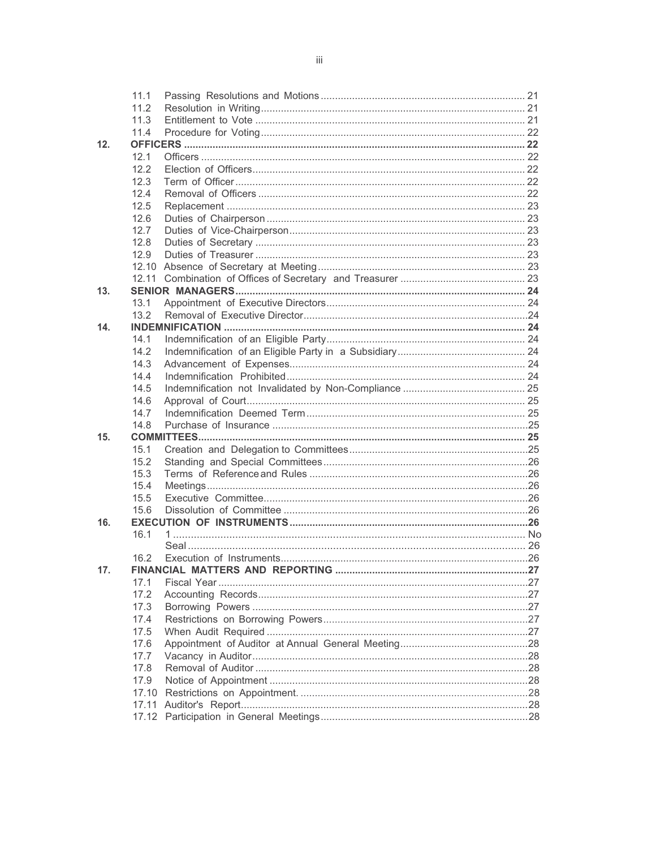|     | 11.1  |                                                                |  |
|-----|-------|----------------------------------------------------------------|--|
|     | 11.2  |                                                                |  |
|     | 11.3  |                                                                |  |
|     | 11.4  |                                                                |  |
| 12. |       |                                                                |  |
|     | 12.1  |                                                                |  |
|     | 12.2  |                                                                |  |
|     | 12.3  |                                                                |  |
|     | 12.4  |                                                                |  |
|     | 12.5  |                                                                |  |
|     | 12.6  |                                                                |  |
|     | 12.7  |                                                                |  |
|     | 12.8  |                                                                |  |
|     | 12.9  |                                                                |  |
|     |       |                                                                |  |
|     |       |                                                                |  |
| 13. |       |                                                                |  |
|     | 13.1  |                                                                |  |
|     | 13.2  |                                                                |  |
| 14. |       |                                                                |  |
|     | 14.1  |                                                                |  |
|     | 14.2  |                                                                |  |
|     | 14.3  |                                                                |  |
|     | 14.4  |                                                                |  |
|     | 14.5  |                                                                |  |
|     | 14.6  |                                                                |  |
|     | 14.7  |                                                                |  |
|     | 14.8  |                                                                |  |
| 15. |       |                                                                |  |
|     | 15.1  |                                                                |  |
|     | 15.2  |                                                                |  |
|     | 15.3  |                                                                |  |
|     | 15.4  |                                                                |  |
|     | 15.5  |                                                                |  |
|     | 15.6  |                                                                |  |
| 16. | 16.1  |                                                                |  |
|     |       |                                                                |  |
|     | 16.2  |                                                                |  |
| 17. |       | FINANCIAL MATTERS AND REPORTING <b>AND SERVICE SERVICES</b> 27 |  |
|     | 17.1  |                                                                |  |
|     | 17.2  |                                                                |  |
|     | 17.3  |                                                                |  |
|     | 17.4  |                                                                |  |
|     | 17.5  |                                                                |  |
|     | 17.6  |                                                                |  |
|     | 17.7  |                                                                |  |
|     | 17.8  |                                                                |  |
|     | 17.9  |                                                                |  |
|     | 17.10 |                                                                |  |
|     |       |                                                                |  |
|     |       |                                                                |  |
|     |       |                                                                |  |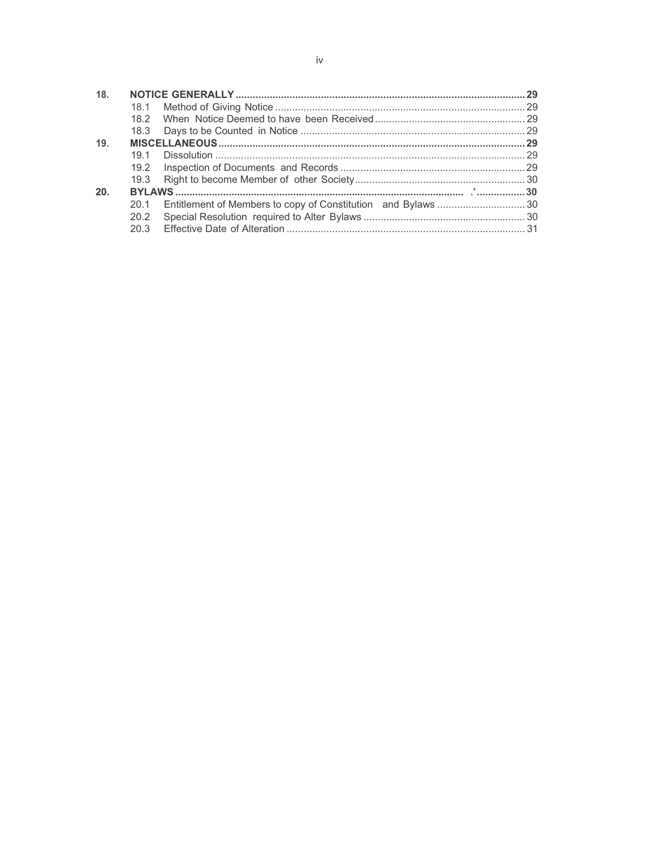| 18.  |      |  |  |
|------|------|--|--|
|      |      |  |  |
|      |      |  |  |
|      |      |  |  |
| 19.  |      |  |  |
|      | 19.1 |  |  |
|      |      |  |  |
|      |      |  |  |
| -20. |      |  |  |
|      | 20.1 |  |  |
|      | 20.2 |  |  |
|      |      |  |  |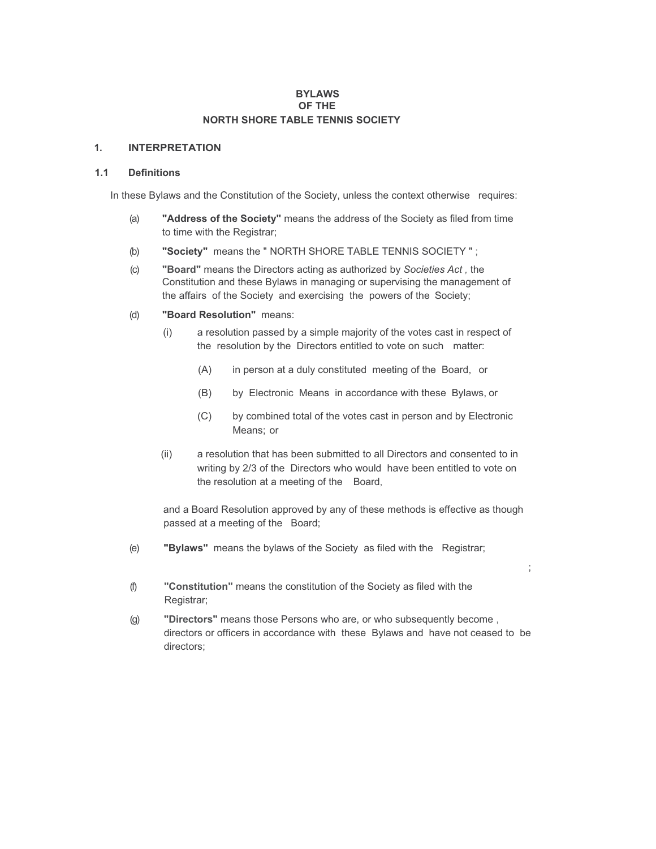#### **BYLAWS OF THE NORTH SHORE TABLE TENNIS SOCIETY**

#### **1. INTERPRETATION**

#### **1.1 Definitions**

In these Bylaws and the Constitution of the Society, unless the context otherwise requires:

- (a) **"Address of the Society"** means the address of the Society as filed from time to time with the Registrar;
- (b) **"Society"** means the " NORTH SHORE TABLE TENNIS SOCIETY " ;
- (c) **"Board"** means the Directors acting as authorized by *Societies Act ,* the Constitution and these Bylaws in managing or supervising the management of the affairs of the Society and exercising the powers of the Society;
- (d) **"Board Resolution"** means:
	- (i) a resolution passed by a simple majority of the votes cast in respect of the resolution by the Directors entitled to vote on such matter:
		- (A) in person at a duly constituted meeting of the Board, or
		- (B) by Electronic Means in accordance with these Bylaws, or
		- (C) by combined total of the votes cast in person and by Electronic Means; or
	- (ii) a resolution that has been submitted to all Directors and consented to in writing by 2/3 of the Directors who would have been entitled to vote on the resolution at a meeting of the Board,

and a Board Resolution approved by any of these methods is effective as though passed at a meeting of the Board;

;

- (e) **"Bylaws"** means the bylaws of the Society as filed with the Registrar;
- (f) **"Constitution"** means the constitution of the Society as filed with the Registrar;
- (g) **"Directors"** means those Persons who are, or who subsequently become , directors or officers in accordance with these Bylaws and have not ceased to be directors;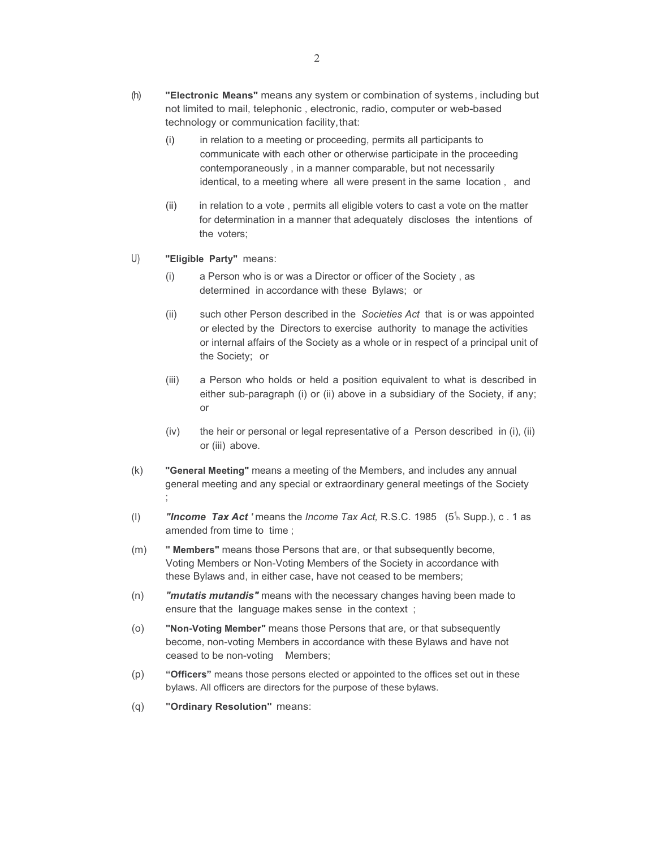- (h) **"Electronic Means"** means any system or combination of systems , including but not limited to mail, telephonic , electronic, radio, computer or web-based technology or communication facility, that:
	- (i) in relation to a meeting or proceeding, permits all participants to communicate with each other or otherwise participate in the proceeding contemporaneously , in a manner comparable, but not necessarily identical, to a meeting where all were present in the same location , and
	- (ii) in relation to a vote , permits all eligible voters to cast a vote on the matter for determination in a manner that adequately discloses the intentions of the voters;
- U) **"Eligible Party"** means:
	- (i) a Person who is or was a Director or officer of the Society , as determined in accordance with these Bylaws; or
	- (ii) such other Person described in the *Societies Act* that is or was appointed or elected by the Directors to exercise authority to manage the activities or internal affairs of the Society as a whole or in respect of a principal unit of the Society; or
	- (iii) a Person who holds or held a position equivalent to what is described in either sub-paragraph (i) or (ii) above in a subsidiary of the Society, if any; or
	- (iv) the heir or personal or legal representative of a Person described in (i), (ii) or (iii) above.
- (k) **"General Meeting"** means a meeting of the Members, and includes any annual general meeting and any special or extraordinary general meetings of the Society ;
- (I) **"Income Tax Act'** means the *Income Tax Act, R.S.C.* 1985 (5<sup>1</sup><sub>h</sub> Supp.), c. 1 as amended from time to time;
- (m) **" Members"** means those Persons that are, or that subsequently become, Voting Members or Non-Voting Members of the Society in accordance with these Bylaws and, in either case, have not ceased to be members;
- (n) *"mutatis mutandis"* means with the necessary changes having been made to ensure that the language makes sense in the context ;
- (o) **"Non-Voting Member"** means those Persons that are, or that subsequently become, non-voting Members in accordance with these Bylaws and have not ceased to be non-voting Members;
- (p) **"Officers"** means those persons elected or appointed to the offices set out in these bylaws. All officers are directors for the purpose of these bylaws.
- (q) **"Ordinary Resolution"** means: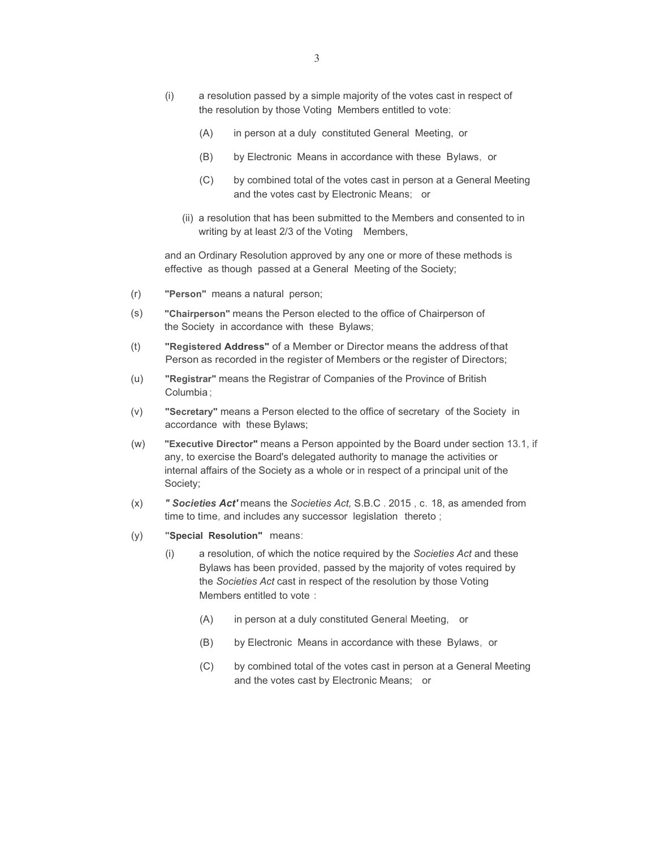- (i) a resolution passed by a simple majority of the votes cast in respect of the resolution by those Voting Members entitled to vote:
	- (A) in person at a duly constituted General Meeting, or
	- (B) by Electronic Means in accordance with these Bylaws, or
	- (C) by combined total of the votes cast in person at a General Meeting and the votes cast by Electronic Means; or
	- (ii) a resolution that has been submitted to the Members and consented to in writing by at least 2/3 of the Voting Members,

and an Ordinary Resolution approved by any one or more of these methods is effective as though passed at a General Meeting of the Society;

- (r) **"Person"** means a natural person;
- (s) **"Chairperson"** means the Person elected to the office of Chairperson of the Society in accordance with these Bylaws;
- (t) **"Registered Address"** of a Member or Director means the address of that Person as recorded in the register of Members or the register of Directors;
- (u) **"Registrar"** means the Registrar of Companies of the Province of British Columbia ;
- (v) **"Secretary"** means a Person elected to the office of secretary of the Society in accordance with these Bylaws;
- (w) **"Executive Director"** means a Person appointed by the Board under section 13.1, if any, to exercise the Board's delegated authority to manage the activities or internal affairs of the Society as a whole or in respect of a principal unit of the Society;
- (x) *" Societies Act'* means the *Societies Act,* S.B.C . 2015 , c. 18, as amended from time to time, and includes any successor legislation thereto ;
- (y) **"Special Resolution"** means:
	- (i) a resolution, of which the notice required by the *Societies Act* and these Bylaws has been provided, passed by the majority of votes required by the *Societies Act* cast in respect of the resolution by those Voting Members entitled to vote :
		- (A) in person at a duly constituted General Meeting, or
		- (B) by Electronic Means in accordance with these Bylaws, or
		- (C) by combined total of the votes cast in person at a General Meeting and the votes cast by Electronic Means; or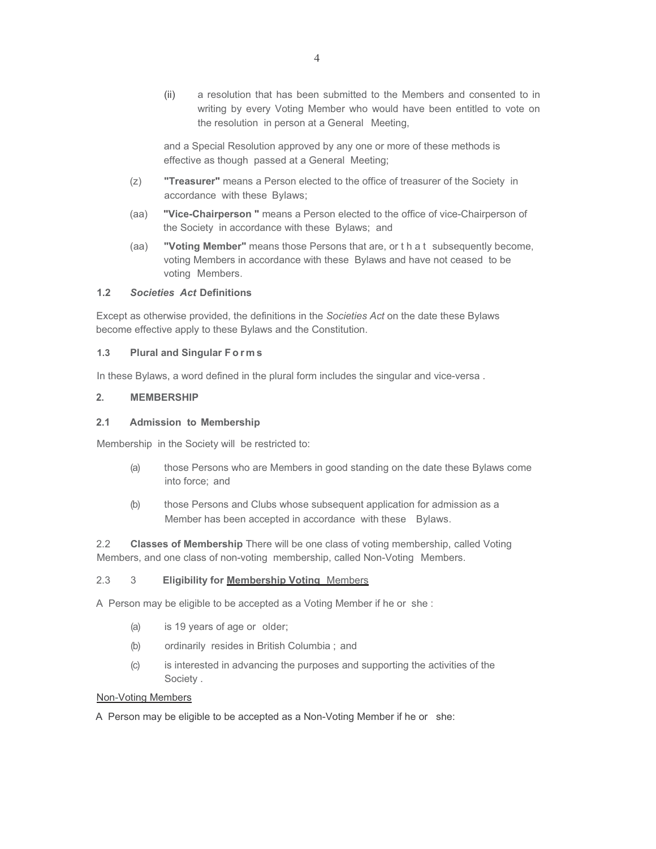(ii) a resolution that has been submitted to the Members and consented to in writing by every Voting Member who would have been entitled to vote on the resolution in person at a General Meeting,

and a Special Resolution approved by any one or more of these methods is effective as though passed at a General Meeting;

- (z) **"Treasurer"** means a Person elected to the office of treasurer of the Society in accordance with these Bylaws;
- (aa) **"Vice-Chairperson "** means a Person elected to the office of vice-Chairperson of the Society in accordance with these Bylaws; and
- (aa) **"Voting Member"** means those Persons that are, or t h a t subsequently become, voting Members in accordance with these Bylaws and have not ceased to be voting Members.

#### **1.2** *Societies Act* **Definitions**

Except as otherwise provided, the definitions in the *Societies Act* on the date these Bylaws become effective apply to these Bylaws and the Constitution.

#### **1.3 Plural and Singular F o r m s**

In these Bylaws, a word defined in the plural form includes the singular and vice-versa .

#### **2. MEMBERSHIP**

#### **2.1 Admission to Membership**

Membership in the Society will be restricted to:

- (a) those Persons who are Members in good standing on the date these Bylaws come into force; and
- (b) those Persons and Clubs whose subsequent application for admission as a Member has been accepted in accordance with these Bylaws.

2.2 **Classes of Membership** There will be one class of voting membership, called Voting Members, and one class of non-voting membership, called Non-Voting Members.

## 2.3 3 **Eligibility for Membership Voting** Members

A Person may be eligible to be accepted as a Voting Member if he or she :

- (a) is 19 years of age or older;
- (b) ordinarily resides in British Columbia ; and
- (c) is interested in advancing the purposes and supporting the activities of the Society .

#### Non-Voting Members

A Person may be eligible to be accepted as a Non-Voting Member if he or she: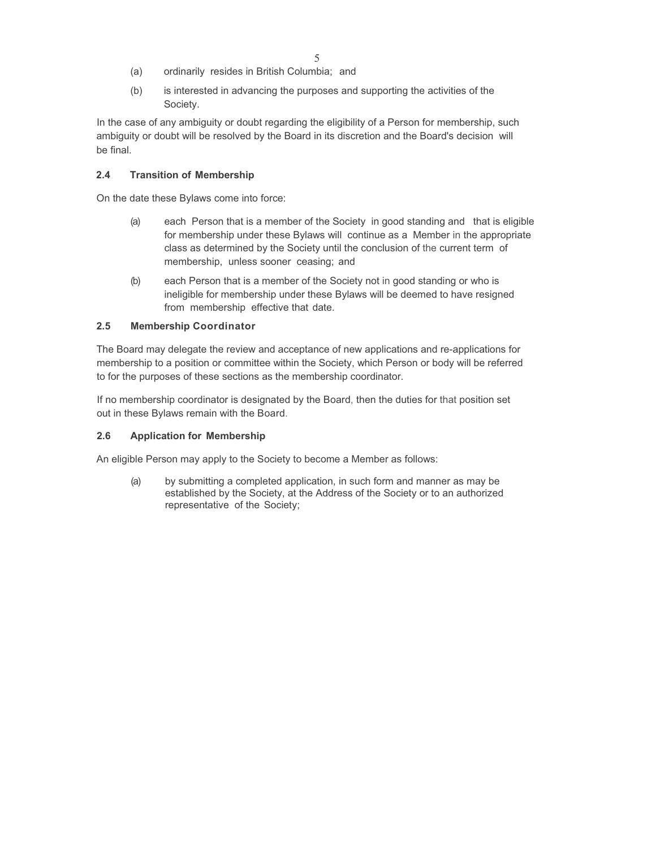- (a) ordinarily resides in British Columbia; and
- (b) is interested in advancing the purposes and supporting the activities of the Society.

In the case of any ambiguity or doubt regarding the eligibility of a Person for membership, such ambiguity or doubt will be resolved by the Board in its discretion and the Board's decision will be final.

## **2.4 Transition of Membership**

On the date these Bylaws come into force:

- (a) each Person that is a member of the Society in good standing and that is eligible for membership under these Bylaws will continue as a Member in the appropriate class as determined by the Society until the conclusion of the current term of membership, unless sooner ceasing; and
- (b) each Person that is a member of the Society not in good standing or who is ineligible for membership under these Bylaws will be deemed to have resigned from membership effective that date.

## **2.5 Membership Coordinator**

The Board may delegate the review and acceptance of new applications and re-applications for membership to a position or committee within the Society, which Person or body will be referred to for the purposes of these sections as the membership coordinator.

If no membership coordinator is designated by the Board, then the duties for that position set out in these Bylaws remain with the Board.

## **2.6 Application for Membership**

An eligible Person may apply to the Society to become a Member as follows:

(a) by submitting a completed application, in such form and manner as may be established by the Society, at the Address of the Society or to an authorized representative of the Society;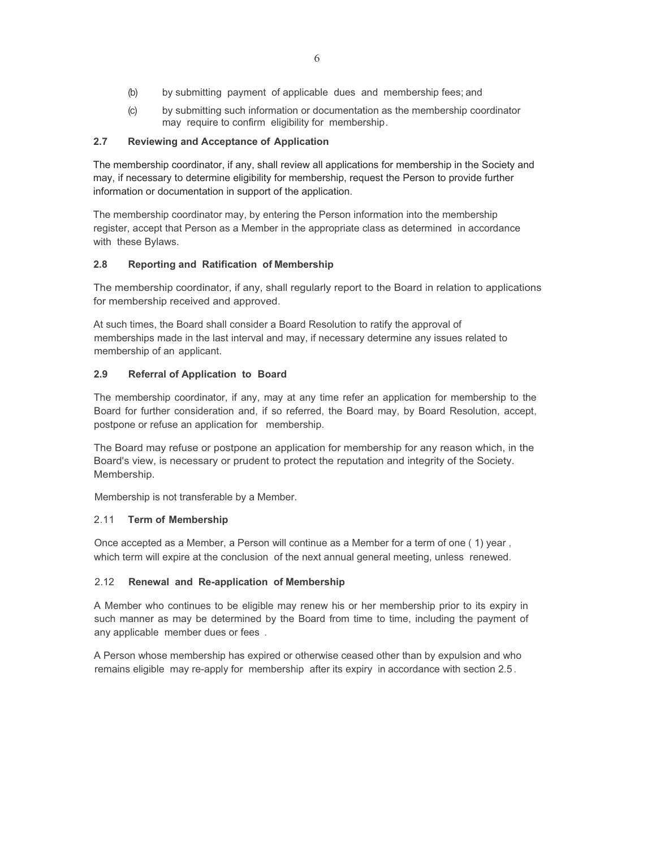- (b) by submitting payment of applicable dues and membership fees; and
- (c) by submitting such information or documentation as the membership coordinator may require to confirm eligibility for membership .

## **2.7 Reviewing and Acceptance of Application**

The membership coordinator, if any, shall review all applications for membership in the Society and may, if necessary to determine eligibility for membership, request the Person to provide further information or documentation in support of the application.

The membership coordinator may, by entering the Person information into the membership register, accept that Person as a Member in the appropriate class as determined in accordance with these Bylaws.

#### **2.8 Reporting and Ratification of Membership**

The membership coordinator, if any, shall regularly report to the Board in relation to applications for membership received and approved.

At such times, the Board shall consider a Board Resolution to ratify the approval of memberships made in the last interval and may, if necessary determine any issues related to membership of an applicant.

#### **2.9 Referral of Application to Board**

The membership coordinator, if any, may at any time refer an application for membership to the Board for further consideration and, if so referred, the Board may, by Board Resolution, accept, postpone or refuse an application for membership.

The Board may refuse or postpone an application for membership for any reason which, in the Board's view, is necessary or prudent to protect the reputation and integrity of the Society. Membership.

Membership is not transferable by a Member.

#### 2.11 **Term of Membership**

Once accepted as a Member, a Person will continue as a Member for a term of one ( 1) year , which term will expire at the conclusion of the next annual general meeting, unless renewed.

#### 2.12 **Renewal and Re-application of Membership**

A Member who continues to be eligible may renew his or her membership prior to its expiry in such manner as may be determined by the Board from time to time, including the payment of any applicable member dues or fees .

A Person whose membership has expired or otherwise ceased other than by expulsion and who remains eligible may re-apply for membership after its expiry in accordance with section 2.5 .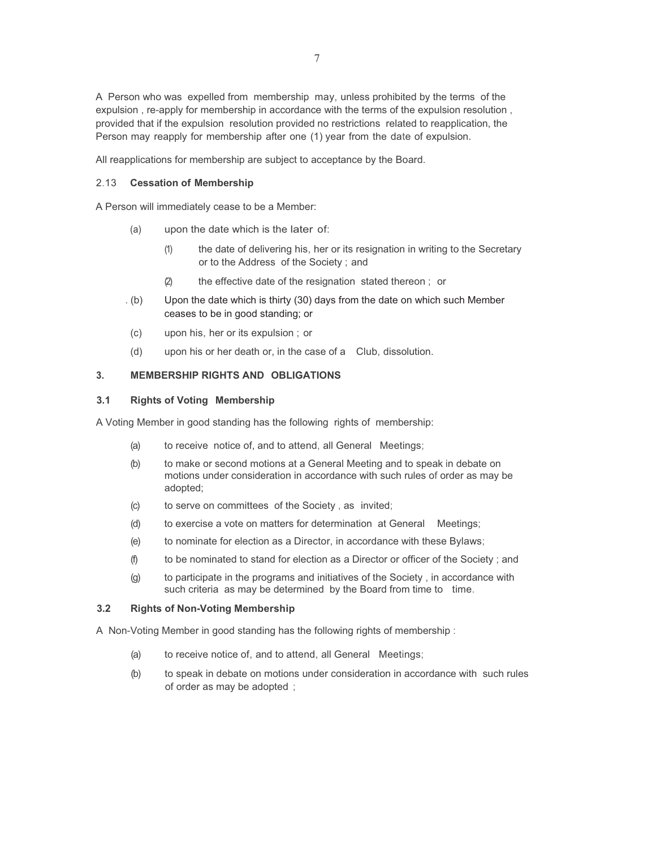A Person who was expelled from membership may, unless prohibited by the terms of the expulsion , re-apply for membership in accordance with the terms of the expulsion resolution , provided that if the expulsion resolution provided no restrictions related to reapplication, the Person may reapply for membership after one (1) year from the date of expulsion.

All reapplications for membership are subject to acceptance by the Board.

#### 2.13 **Cessation of Membership**

A Person will immediately cease to be a Member:

- (a) upon the date which is the later of:
	- (1) the date of delivering his, her or its resignation in writing to the Secretary or to the Address of the Society ; and
	- (2) the effective date of the resignation stated thereon ; or
- . (b) Upon the date which is thirty (30) days from the date on which such Member ceases to be in good standing; or
- (c) upon his, her or its expulsion ; or
- (d) upon his or her death or, in the case of a Club, dissolution.

## **3. MEMBERSHIP RIGHTS AND OBLIGATIONS**

#### **3.1 Rights of Voting Membership**

A Voting Member in good standing has the following rights of membership:

- (a) to receive notice of, and to attend, all General Meetings;
- (b) to make or second motions at a General Meeting and to speak in debate on motions under consideration in accordance with such rules of order as may be adopted;
- (c) to serve on committees of the Society , as invited;
- (d) to exercise a vote on matters for determination at General Meetings;
- (e) to nominate for election as a Director, in accordance with these Bylaws;
- (f) to be nominated to stand for election as a Director or officer of the Society ; and
- (g) to participate in the programs and initiatives of the Society , in accordance with such criteria as may be determined by the Board from time to time.

## **3.2 Rights of Non-Voting Membership**

A Non-Voting Member in good standing has the following rights of membership :

- (a) to receive notice of, and to attend, all General Meetings;
- (b) to speak in debate on motions under consideration in accordance with such rules of order as may be adopted ;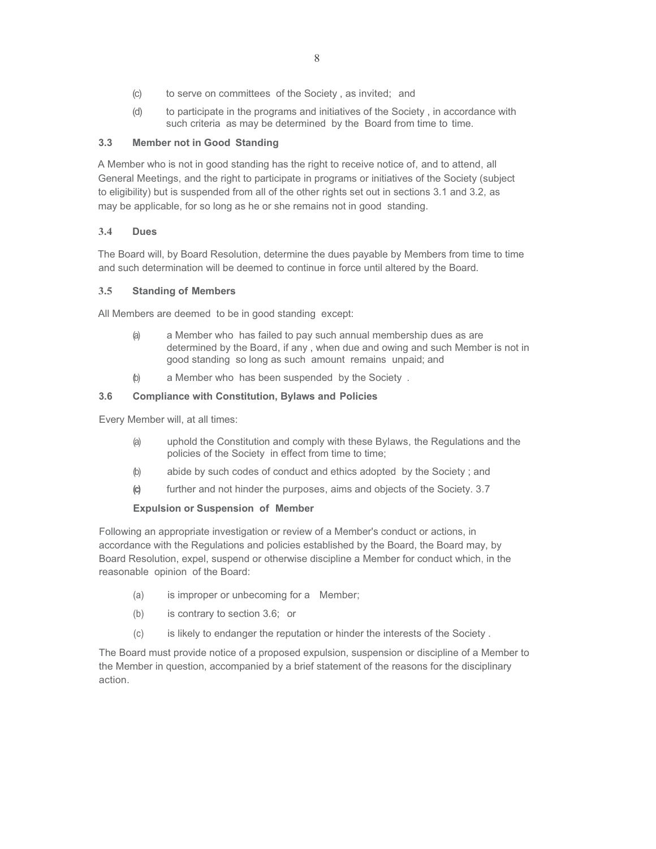- (c) to serve on committees of the Society , as invited; and
- (d) to participate in the programs and initiatives of the Society , in accordance with such criteria as may be determined by the Board from time to time.

#### **3.3 Member not in Good Standing**

A Member who is not in good standing has the right to receive notice of, and to attend, all General Meetings, and the right to participate in programs or initiatives of the Society (subject to eligibility) but is suspended from all of the other rights set out in sections 3.1 and 3.2, as may be applicable, for so long as he or she remains not in good standing.

#### **3.4 Dues**

The Board will, by Board Resolution, determine the dues payable by Members from time to time and such determination will be deemed to continue in force until altered by the Board.

#### **3.5 Standing of Members**

All Members are deemed to be in good standing except:

- (a) a Member who has failed to pay such annual membership dues as are determined by the Board, if any , when due and owing and such Member is not in good standing so long as such amount remains unpaid; and
- (b) a Member who has been suspended by the Society .

#### **3.6 Compliance with Constitution, Bylaws and Policies**

Every Member will, at all times:

- (a) uphold the Constitution and comply with these Bylaws, the Regulations and the policies of the Society in effect from time to time;
- (b) abide by such codes of conduct and ethics adopted by the Society ; and
- **(c)** further and not hinder the purposes, aims and objects of the Society. 3.7

## **Expulsion or Suspension of Member**

Following an appropriate investigation or review of a Member's conduct or actions, in accordance with the Regulations and policies established by the Board, the Board may, by Board Resolution, expel, suspend or otherwise discipline a Member for conduct which, in the reasonable opinion of the Board:

- (a) is improper or unbecoming for a Member;
- (b) is contrary to section 3.6; or
- (c) is likely to endanger the reputation or hinder the interests of the Society .

The Board must provide notice of a proposed expulsion, suspension or discipline of a Member to the Member in question, accompanied by a brief statement of the reasons for the disciplinary action.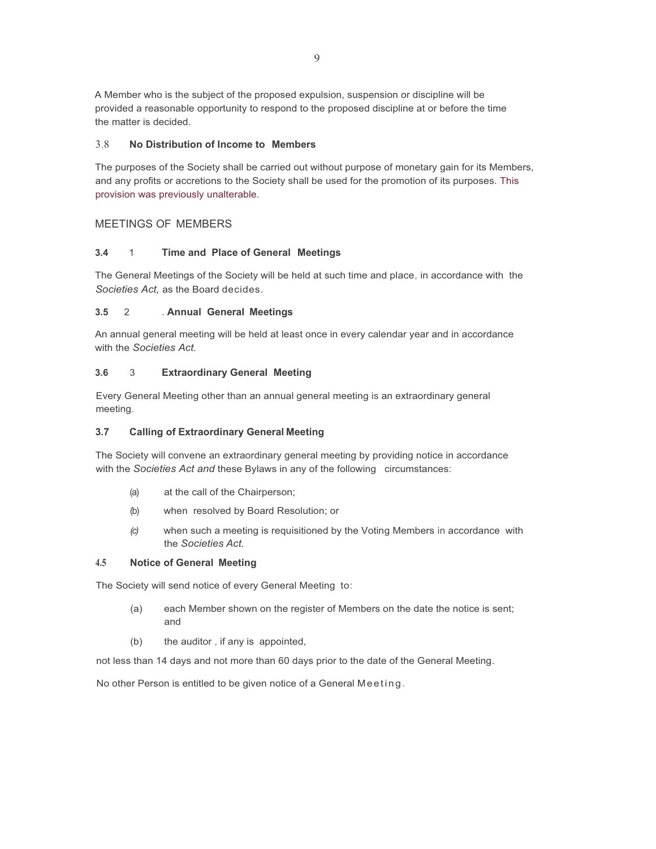A Member who is the subject of the proposed expulsion, suspension or discipline will be provided a reasonable opportunity to respond to the proposed discipline at or before the time the matter is decided.

#### 3.8 **No Distribution of Income to Members**

The purposes of the Society shall be carried out without purpose of monetary gain for its Members, and any profits or accretions to the Society shall be used for the promotion of its purposes. This provision was previously unalterable.

## MEETINGS OF MEMBERS

#### **3.4** 1 **Time and Place of General Meetings**

The General Meetings of the Society will be held at such time and place, in accordance with the *Societies Act,* as the Board decides.

#### **3.5** 2 . **Annual General Meetings**

An annual general meeting will be held at least once in every calendar year and in accordance with the *Societies Act.*

#### **3.6** 3 **Extraordinary General Meeting**

Every General Meeting other than an annual general meeting is an extraordinary general meeting.

## **3.7 Calling of Extraordinary General Meeting**

The Society will convene an extraordinary general meeting by providing notice in accordance with the *Societies Act and* these Bylaws in any of the following circumstances:

- (a) at the call of the Chairperson;
- (b) when resolved by Board Resolution; or
- *(c)* when such a meeting is requisitioned by the Voting Members in accordance with the *Societies Act.*

#### **4.5 Notice of General Meeting**

The Society will send notice of every General Meeting to:

- (a) each Member shown on the register of Members on the date the notice is sent; and
- (b) the auditor , if any is appointed,

not less than 14 days and not more than 60 days prior to the date of the General Meeting.

No other Person is entitled to be given notice of a General Meeting .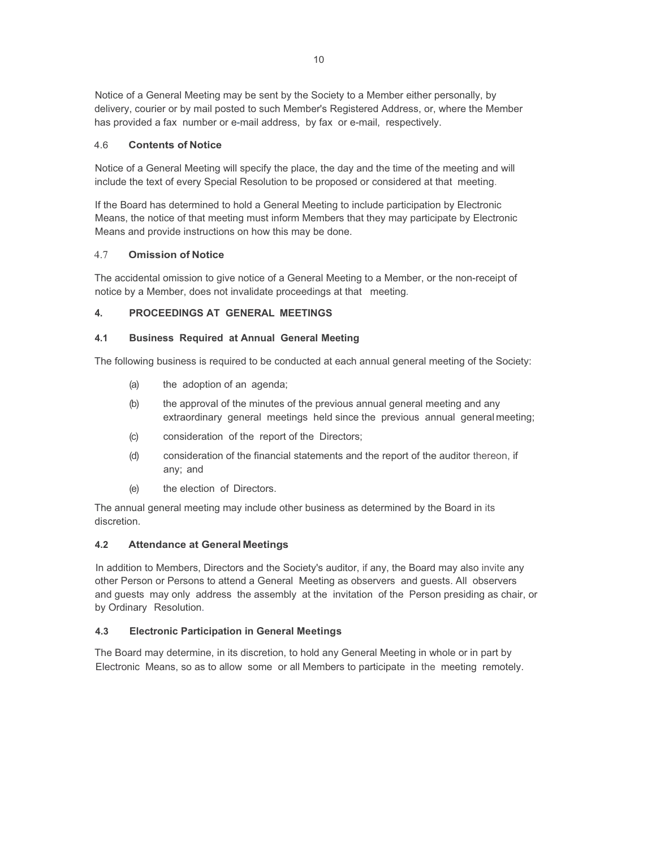Notice of a General Meeting may be sent by the Society to a Member either personally, by delivery, courier or by mail posted to such Member's Registered Address, or, where the Member has provided a fax number or e-mail address, by fax or e-mail, respectively.

## 4.6 **Contents of Notice**

Notice of a General Meeting will specify the place, the day and the time of the meeting and will include the text of every Special Resolution to be proposed or considered at that meeting.

If the Board has determined to hold a General Meeting to include participation by Electronic Means, the notice of that meeting must inform Members that they may participate by Electronic Means and provide instructions on how this may be done.

#### 4.7 **Omission of Notice**

The accidental omission to give notice of a General Meeting to a Member, or the non-receipt of notice by a Member, does not invalidate proceedings at that meeting.

## **4. PROCEEDINGS AT GENERAL MEETINGS**

#### **4.1 Business Required at Annual General Meeting**

The following business is required to be conducted at each annual general meeting of the Society:

- (a) the adoption of an agenda;
- (b) the approval of the minutes of the previous annual general meeting and any extraordinary general meetings held since the previous annual general meeting;
- (c) consideration of the report of the Directors;
- (d) consideration of the financial statements and the report of the auditor thereon, if any; and
- (e) the election of Directors.

The annual general meeting may include other business as determined by the Board in its discretion.

## **4.2 Attendance at General Meetings**

In addition to Members, Directors and the Society's auditor, if any, the Board may also invite any other Person or Persons to attend a General Meeting as observers and guests. All observers and guests may only address the assembly at the invitation of the Person presiding as chair, or by Ordinary Resolution.

## **4.3 Electronic Participation in General Meetings**

The Board may determine, in its discretion, to hold any General Meeting in whole or in part by Electronic Means, so as to allow some or all Members to participate in the meeting remotely.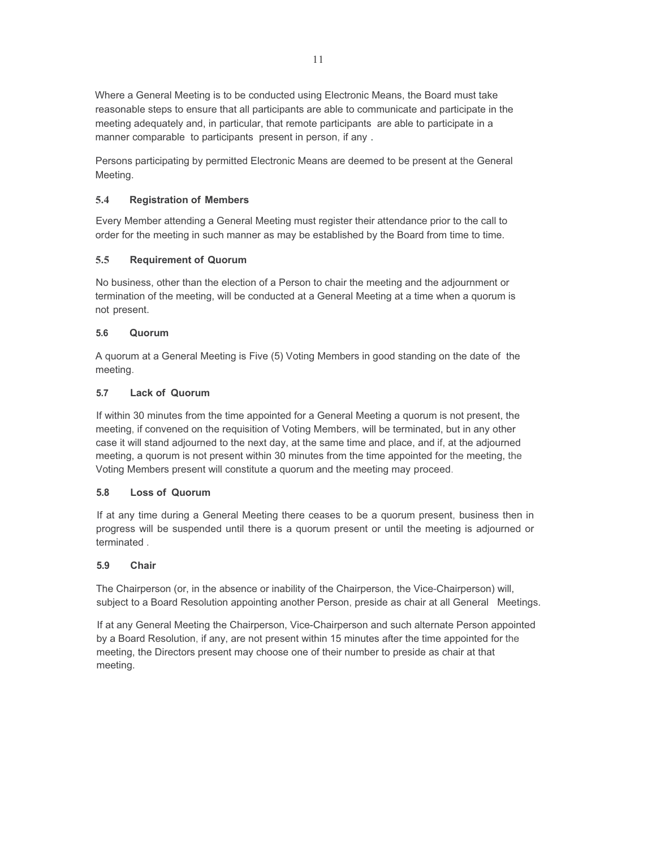Where a General Meeting is to be conducted using Electronic Means, the Board must take reasonable steps to ensure that all participants are able to communicate and participate in the meeting adequately and, in particular, that remote participants are able to participate in a manner comparable to participants present in person, if any .

Persons participating by permitted Electronic Means are deemed to be present at the General Meeting.

## **5.4 Registration of Members**

Every Member attending a General Meeting must register their attendance prior to the call to order for the meeting in such manner as may be established by the Board from time to time.

## **5.5 Requirement of Quorum**

No business, other than the election of a Person to chair the meeting and the adjournment or termination of the meeting, will be conducted at a General Meeting at a time when a quorum is not present.

## **5.6 Quorum**

A quorum at a General Meeting is Five (5) Voting Members in good standing on the date of the meeting.

## **5.7 Lack of Quorum**

If within 30 minutes from the time appointed for a General Meeting a quorum is not present, the meeting, if convened on the requisition of Voting Members, will be terminated, but in any other case it will stand adjourned to the next day, at the same time and place, and if, at the adjourned meeting, a quorum is not present within 30 minutes from the time appointed for the meeting, the Voting Members present will constitute a quorum and the meeting may proceed.

## **5.8 Loss of Quorum**

If at any time during a General Meeting there ceases to be a quorum present, business then in progress will be suspended until there is a quorum present or until the meeting is adjourned or terminated .

## **5.9 Chair**

The Chairperson (or, in the absence or inability of the Chairperson, the Vice-Chairperson) will, subject to a Board Resolution appointing another Person, preside as chair at all General Meetings.

If at any General Meeting the Chairperson, Vice-Chairperson and such alternate Person appointed by a Board Resolution, if any, are not present within 15 minutes after the time appointed for the meeting, the Directors present may choose one of their number to preside as chair at that meeting.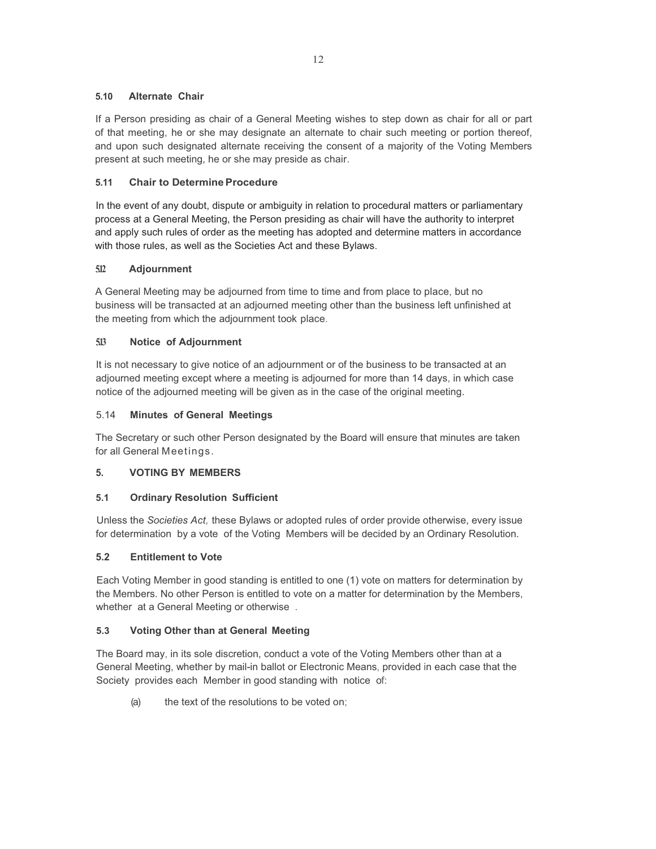#### **5.10 Alternate Chair**

If a Person presiding as chair of a General Meeting wishes to step down as chair for all or part of that meeting, he or she may designate an alternate to chair such meeting or portion thereof, and upon such designated alternate receiving the consent of a majority of the Voting Members present at such meeting, he or she may preside as chair.

## **5.11 Chair to Determine Procedure**

In the event of any doubt, dispute or ambiguity in relation to procedural matters or parliamentary process at a General Meeting, the Person presiding as chair will have the authority to interpret and apply such rules of order as the meeting has adopted and determine matters in accordance with those rules, as well as the Societies Act and these Bylaws.

## **5.12 Adjournment**

A General Meeting may be adjourned from time to time and from place to place, but no business will be transacted at an adjourned meeting other than the business left unfinished at the meeting from which the adjournment took place.

## **5.13 Notice of Adjournment**

It is not necessary to give notice of an adjournment or of the business to be transacted at an adjourned meeting except where a meeting is adjourned for more than 14 days, in which case notice of the adjourned meeting will be given as in the case of the original meeting.

## 5.14 **Minutes of General Meetings**

The Secretary or such other Person designated by the Board will ensure that minutes are taken for all General Meetings.

## **5. VOTING BY MEMBERS**

## **5.1 Ordinary Resolution Sufficient**

Unless the *Societies Act,* these Bylaws or adopted rules of order provide otherwise, every issue for determination by a vote of the Voting Members will be decided by an Ordinary Resolution.

## **5.2 Entitlement to Vote**

Each Voting Member in good standing is entitled to one (1) vote on matters for determination by the Members. No other Person is entitled to vote on a matter for determination by the Members, whether at a General Meeting or otherwise .

## **5.3 Voting Other than at General Meeting**

The Board may, in its sole discretion, conduct a vote of the Voting Members other than at a General Meeting, whether by mail-in ballot or Electronic Means, provided in each case that the Society provides each Member in good standing with notice of:

(a) the text of the resolutions to be voted on;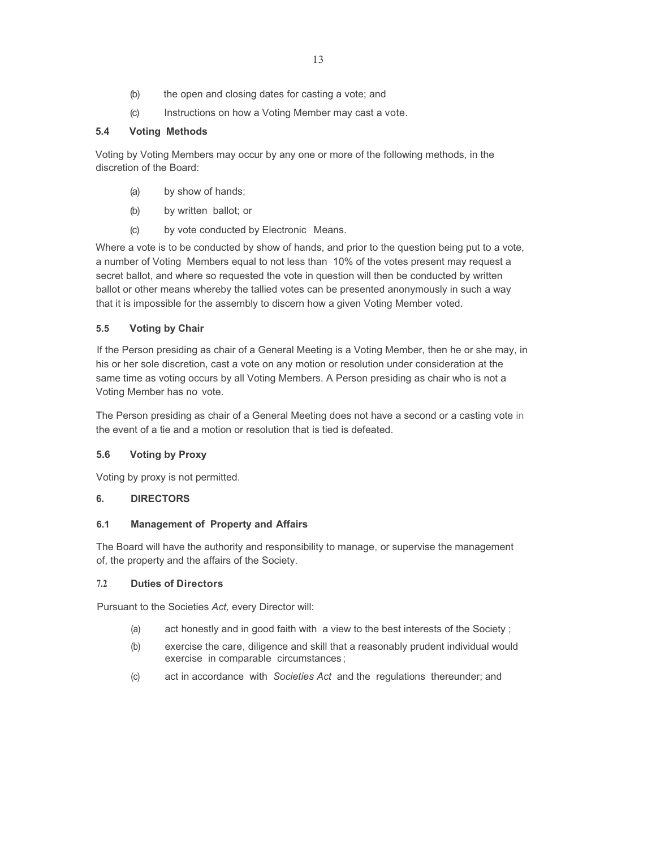13

- (b) the open and closing dates for casting a vote; and
- (c) Instructions on how a Voting Member may cast a vote.

# **5.4 Voting Methods**

Voting by Voting Members may occur by any one or more of the following methods, in the discretion of the Board:

- (a) by show of hands;
- (b) by written ballot; or
- (c) by vote conducted by Electronic Means.

Where a vote is to be conducted by show of hands, and prior to the question being put to a vote, a number of Voting Members equal to not less than 10% of the votes present may request a secret ballot, and where so requested the vote in question will then be conducted by written ballot or other means whereby the tallied votes can be presented anonymously in such a way that it is impossible for the assembly to discern how a given Voting Member voted.

# **5.5 Voting by Chair**

If the Person presiding as chair of a General Meeting is a Voting Member, then he or she may, in his or her sole discretion, cast a vote on any motion or resolution under consideration at the same time as voting occurs by all Voting Members. A Person presiding as chair who is not a Voting Member has no vote.

The Person presiding as chair of a General Meeting does not have a second or a casting vote in the event of a tie and a motion or resolution that is tied is defeated.

# **5.6 Voting by Proxy**

Voting by proxy is not permitted.

# **6. DIRECTORS**

# **6.1 Management of Property and Affairs**

The Board will have the authority and responsibility to manage, or supervise the management of, the property and the affairs of the Society.

# **7.2 Duties of Directors**

Pursuant to the Societies *Act,* every Director will:

- (a) act honestly and in good faith with a view to the best interests of the Society ;
- (b) exercise the care, diligence and skill that a reasonably prudent individual would exercise in comparable circumstances ;
- (c) act in accordance with *Societies Act* and the regulations thereunder; and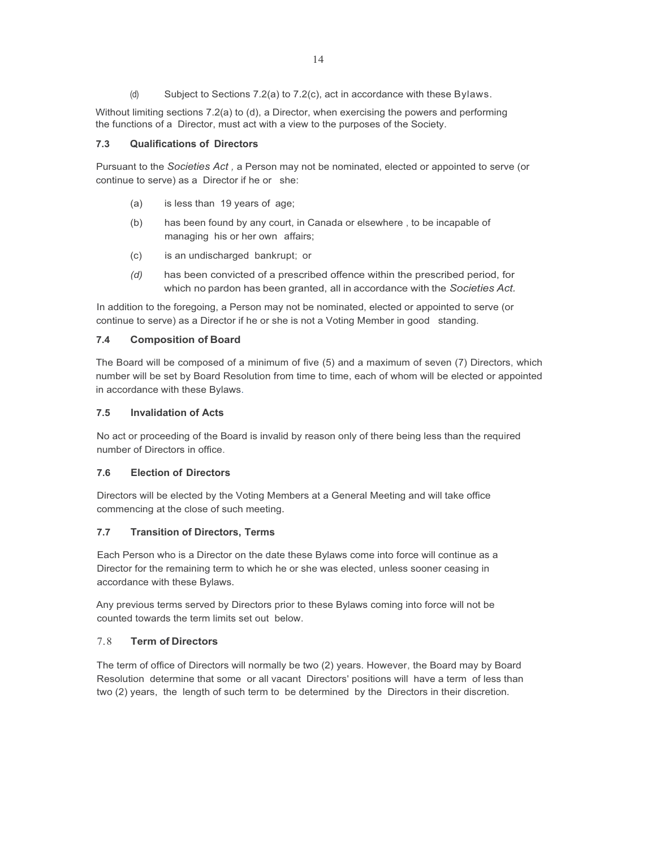(d) Subject to Sections 7.2(a) to 7.2(c), act in accordance with these Bylaws.

Without limiting sections 7.2(a) to (d), a Director, when exercising the powers and performing the functions of a Director, must act with a view to the purposes of the Society.

#### **7.3 Qualifications of Directors**

Pursuant to the *Societies Act ,* a Person may not be nominated, elected or appointed to serve (or continue to serve) as a Director if he or she:

- (a) is less than 19 years of age;
- (b) has been found by any court, in Canada or elsewhere , to be incapable of managing his or her own affairs;
- (c) is an undischarged bankrupt; or
- *(d)* has been convicted of a prescribed offence within the prescribed period, for which no pardon has been granted, all in accordance with the *Societies Act.*

In addition to the foregoing, a Person may not be nominated, elected or appointed to serve (or continue to serve) as a Director if he or she is not a Voting Member in good standing.

#### **7.4 Composition of Board**

The Board will be composed of a minimum of five (5) and a maximum of seven (7) Directors, which number will be set by Board Resolution from time to time, each of whom will be elected or appointed in accordance with these Bylaws.

#### **7.5 Invalidation of Acts**

No act or proceeding of the Board is invalid by reason only of there being less than the required number of Directors in office.

## **7.6 Election of Directors**

Directors will be elected by the Voting Members at a General Meeting and will take office commencing at the close of such meeting.

## **7.7 Transition of Directors, Terms**

Each Person who is a Director on the date these Bylaws come into force will continue as a Director for the remaining term to which he or she was elected, unless sooner ceasing in accordance with these Bylaws.

Any previous terms served by Directors prior to these Bylaws coming into force will not be counted towards the term limits set out below.

## 7.8 **Term of Directors**

The term of office of Directors will normally be two (2) years. However, the Board may by Board Resolution determine that some or all vacant Directors' positions will have a term of less than two (2) years, the length of such term to be determined by the Directors in their discretion.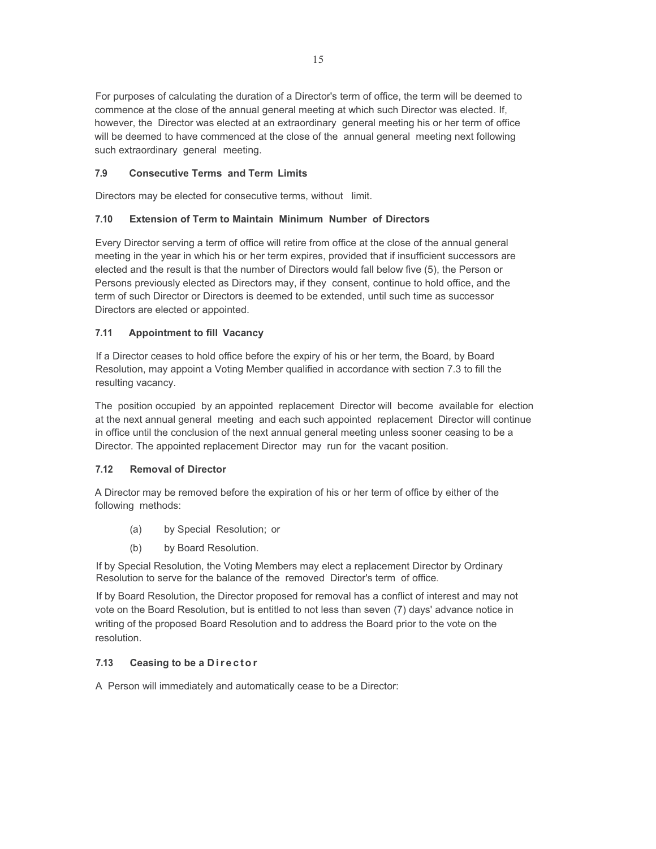For purposes of calculating the duration of a Director's term of office, the term will be deemed to commence at the close of the annual general meeting at which such Director was elected. If, however, the Director was elected at an extraordinary general meeting his or her term of office will be deemed to have commenced at the close of the annual general meeting next following such extraordinary general meeting.

## **7.9 Consecutive Terms and Term Limits**

Directors may be elected for consecutive terms, without limit.

## **7.10 Extension of Term to Maintain Minimum Number of Directors**

Every Director serving a term of office will retire from office at the close of the annual general meeting in the year in which his or her term expires, provided that if insufficient successors are elected and the result is that the number of Directors would fall below five (5), the Person or Persons previously elected as Directors may, if they consent, continue to hold office, and the term of such Director or Directors is deemed to be extended, until such time as successor Directors are elected or appointed.

## **7.11 Appointment to fill Vacancy**

If a Director ceases to hold office before the expiry of his or her term, the Board, by Board Resolution, may appoint a Voting Member qualified in accordance with section 7.3 to fill the resulting vacancy.

The position occupied by an appointed replacement Director will become available for election at the next annual general meeting and each such appointed replacement Director will continue in office until the conclusion of the next annual general meeting unless sooner ceasing to be a Director. The appointed replacement Director may run for the vacant position.

## **7.12 Removal of Director**

A Director may be removed before the expiration of his or her term of office by either of the following methods:

- (a) by Special Resolution; or
- (b) by Board Resolution.

If by Special Resolution, the Voting Members may elect a replacement Director by Ordinary Resolution to serve for the balance of the removed Director's term of office.

If by Board Resolution, the Director proposed for removal has a conflict of interest and may not vote on the Board Resolution, but is entitled to not less than seven (7) days' advance notice in writing of the proposed Board Resolution and to address the Board prior to the vote on the resolution.

## **7.13** Ceasing to be a Director

A Person will immediately and automatically cease to be a Director: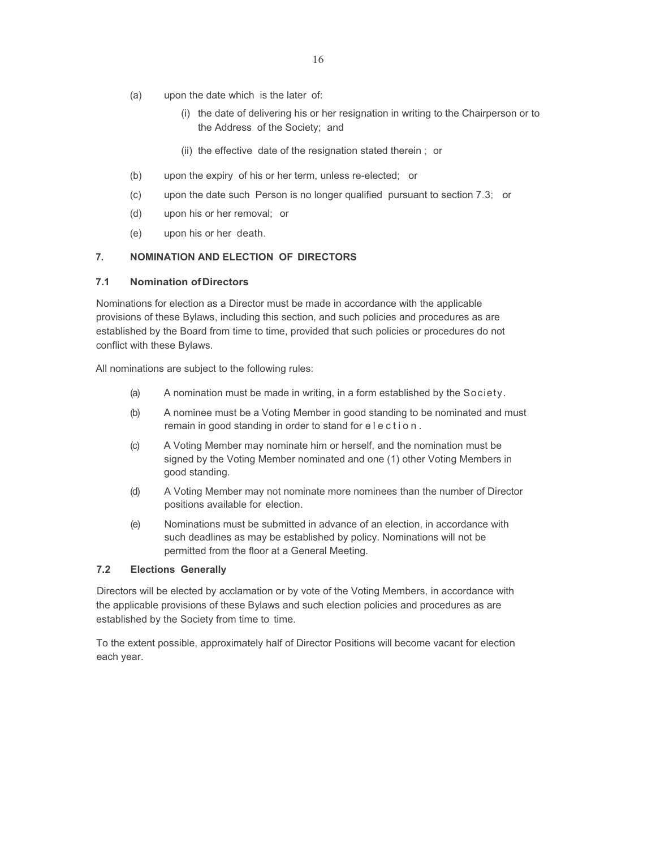- (a) upon the date which is the later of:
	- (i) the date of delivering his or her resignation in writing to the Chairperson or to the Address of the Society; and
	- (ii) the effective date of the resignation stated therein ; or
- (b) upon the expiry of his or her term, unless re-elected; or
- (c) upon the date such Person is no longer qualified pursuant to section 7.3; or
- (d) upon his or her removal; or
- (e) upon his or her death.

## **7. NOMINATION AND ELECTION OF DIRECTORS**

#### **7.1 Nomination of Directors**

Nominations for election as a Director must be made in accordance with the applicable provisions of these Bylaws, including this section, and such policies and procedures as are established by the Board from time to time, provided that such policies or procedures do not conflict with these Bylaws.

All nominations are subject to the following rules:

- (a) A nomination must be made in writing, in a form established by the Society.
- (b) A nominee must be a Voting Member in good standing to be nominated and must remain in good standing in order to stand for election.
- (c) A Voting Member may nominate him or herself, and the nomination must be signed by the Voting Member nominated and one (1) other Voting Members in good standing.
- (d) A Voting Member may not nominate more nominees than the number of Director positions available for election.
- (e) Nominations must be submitted in advance of an election, in accordance with such deadlines as may be established by policy. Nominations will not be permitted from the floor at a General Meeting.

## **7.2 Elections Generally**

Directors will be elected by acclamation or by vote of the Voting Members, in accordance with the applicable provisions of these Bylaws and such election policies and procedures as are established by the Society from time to time.

To the extent possible, approximately half of Director Positions will become vacant for election each year.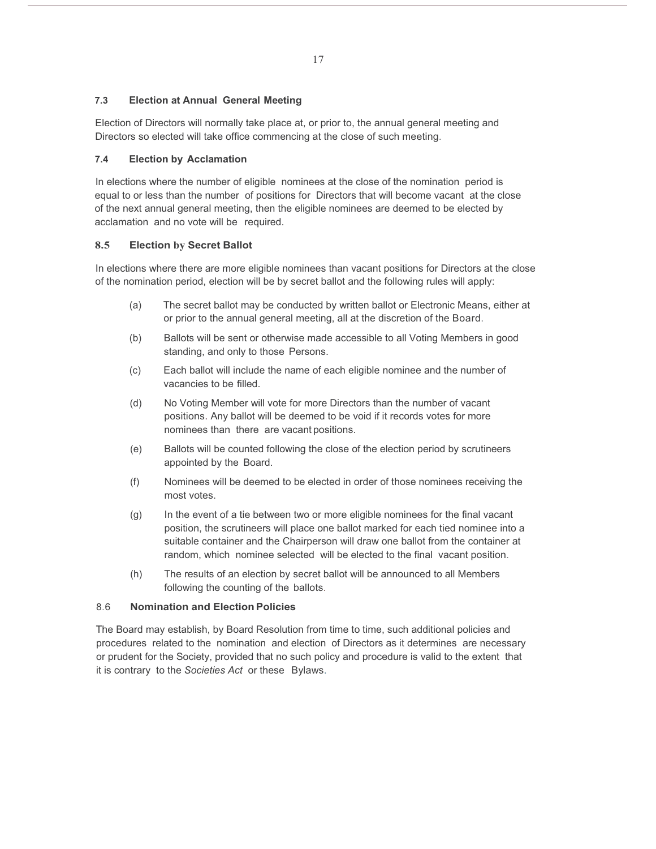## **7.3 Election at Annual General Meeting**

Election of Directors will normally take place at, or prior to, the annual general meeting and Directors so elected will take office commencing at the close of such meeting.

## **7.4 Election by Acclamation**

In elections where the number of eligible nominees at the close of the nomination period is equal to or less than the number of positions for Directors that will become vacant at the close of the next annual general meeting, then the eligible nominees are deemed to be elected by acclamation and no vote will be required.

## **8.5 Election by Secret Ballot**

In elections where there are more eligible nominees than vacant positions for Directors at the close of the nomination period, election will be by secret ballot and the following rules will apply:

- (a) The secret ballot may be conducted by written ballot or Electronic Means, either at or prior to the annual general meeting, all at the discretion of the Board.
- (b) Ballots will be sent or otherwise made accessible to all Voting Members in good standing, and only to those Persons.
- (c) Each ballot will include the name of each eligible nominee and the number of vacancies to be filled.
- (d) No Voting Member will vote for more Directors than the number of vacant positions. Any ballot will be deemed to be void if it records votes for more nominees than there are vacant positions.
- (e) Ballots will be counted following the close of the election period by scrutineers appointed by the Board.
- (f) Nominees will be deemed to be elected in order of those nominees receiving the most votes.
- (g) In the event of a tie between two or more eligible nominees for the final vacant position, the scrutineers will place one ballot marked for each tied nominee into a suitable container and the Chairperson will draw one ballot from the container at random, which nominee selected will be elected to the final vacant position.
- (h) The results of an election by secret ballot will be announced to all Members following the counting of the ballots.

## 8.6 **Nomination and Election Policies**

The Board may establish, by Board Resolution from time to time, such additional policies and procedures related to the nomination and election of Directors as it determines are necessary or prudent for the Society, provided that no such policy and procedure is valid to the extent that it is contrary to the *Societies Act* or these Bylaws.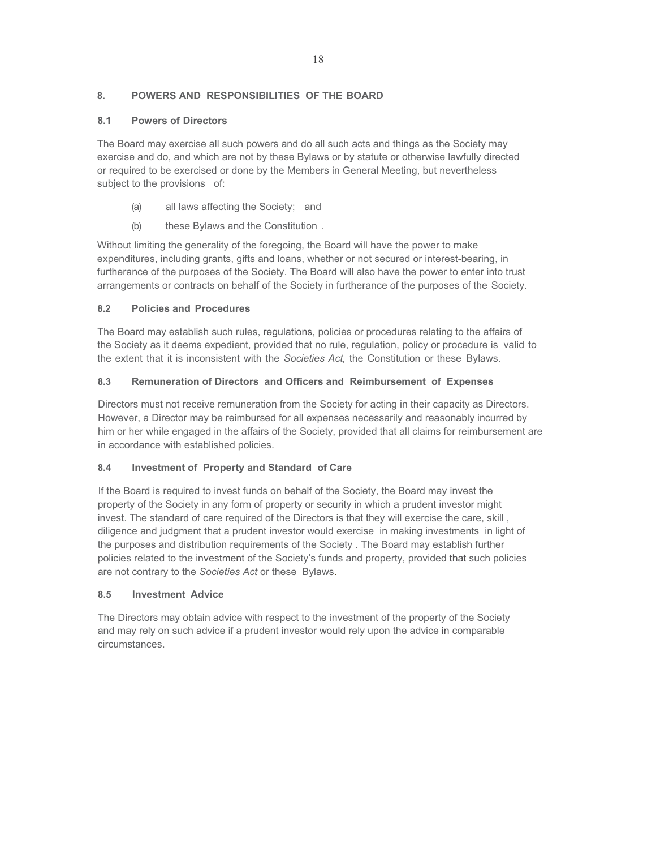## **8. POWERS AND RESPONSIBILITIES OF THE BOARD**

## **8.1 Powers of Directors**

The Board may exercise all such powers and do all such acts and things as the Society may exercise and do, and which are not by these Bylaws or by statute or otherwise lawfully directed or required to be exercised or done by the Members in General Meeting, but nevertheless subject to the provisions of:

- (a) all laws affecting the Society; and
- (b) these Bylaws and the Constitution .

Without limiting the generality of the foregoing, the Board will have the power to make expenditures, including grants, gifts and loans, whether or not secured or interest-bearing, in furtherance of the purposes of the Society. The Board will also have the power to enter into trust arrangements or contracts on behalf of the Society in furtherance of the purposes of the Society.

## **8.2 Policies and Procedures**

The Board may establish such rules, regulations, policies or procedures relating to the affairs of the Society as it deems expedient, provided that no rule, regulation, policy or procedure is valid to the extent that it is inconsistent with the *Societies Act,* the Constitution or these Bylaws.

## **8.3 Remuneration of Directors and Officers and Reimbursement of Expenses**

Directors must not receive remuneration from the Society for acting in their capacity as Directors. However, a Director may be reimbursed for all expenses necessarily and reasonably incurred by him or her while engaged in the affairs of the Society, provided that all claims for reimbursement are in accordance with established policies.

## **8.4 Investment of Property and Standard of Care**

If the Board is required to invest funds on behalf of the Society, the Board may invest the property of the Society in any form of property or security in which a prudent investor might invest. The standard of care required of the Directors is that they will exercise the care, skill , diligence and judgment that a prudent investor would exercise in making investments in light of the purposes and distribution requirements of the Society . The Board may establish further policies related to the investment of the Society's funds and property, provided that such policies are not contrary to the *Societies Act* or these Bylaws.

## **8.5 Investment Advice**

The Directors may obtain advice with respect to the investment of the property of the Society and may rely on such advice if a prudent investor would rely upon the advice in comparable circumstances.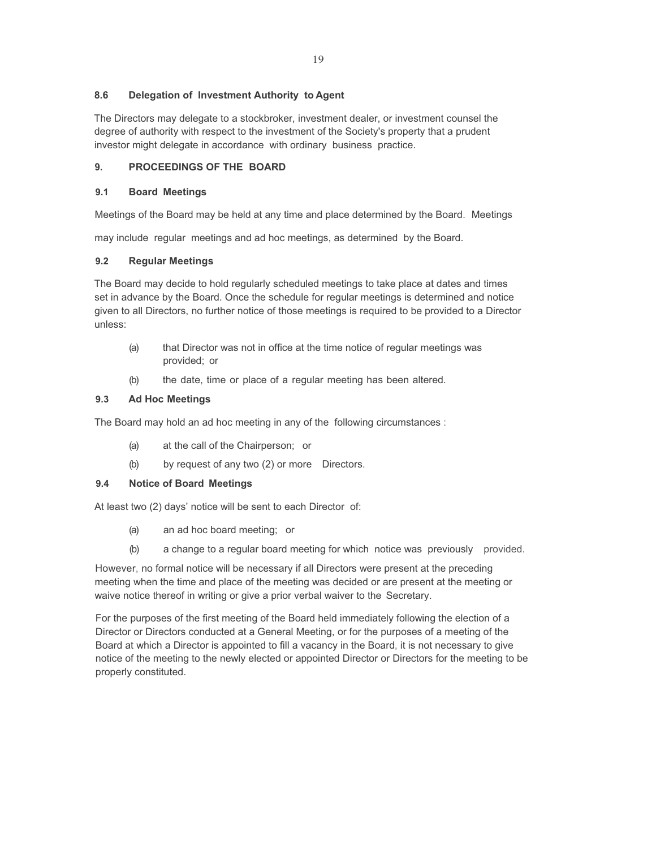#### **8.6 Delegation of Investment Authority to Agent**

The Directors may delegate to a stockbroker, investment dealer, or investment counsel the degree of authority with respect to the investment of the Society's property that a prudent investor might delegate in accordance with ordinary business practice.

## **9. PROCEEDINGS OF THE BOARD**

#### **9.1 Board Meetings**

Meetings of the Board may be held at any time and place determined by the Board. Meetings

may include regular meetings and ad hoc meetings, as determined by the Board.

#### **9.2 Regular Meetings**

The Board may decide to hold regularly scheduled meetings to take place at dates and times set in advance by the Board. Once the schedule for regular meetings is determined and notice given to all Directors, no further notice of those meetings is required to be provided to a Director unless:

- (a) that Director was not in office at the time notice of regular meetings was provided; or
- (b) the date, time or place of a regular meeting has been altered.

## **9.3 Ad Hoc Meetings**

The Board may hold an ad hoc meeting in any of the following circumstances :

- (a) at the call of the Chairperson; or
- (b) by request of any two (2) or more Directors.

## **9.4 Notice of Board Meetings**

At least two (2) days' notice will be sent to each Director of:

- (a) an ad hoc board meeting; or
- (b) a change to a regular board meeting for which notice was previously provided.

However, no formal notice will be necessary if all Directors were present at the preceding meeting when the time and place of the meeting was decided or are present at the meeting or waive notice thereof in writing or give a prior verbal waiver to the Secretary.

For the purposes of the first meeting of the Board held immediately following the election of a Director or Directors conducted at a General Meeting, or for the purposes of a meeting of the Board at which a Director is appointed to fill a vacancy in the Board, it is not necessary to give notice of the meeting to the newly elected or appointed Director or Directors for the meeting to be properly constituted.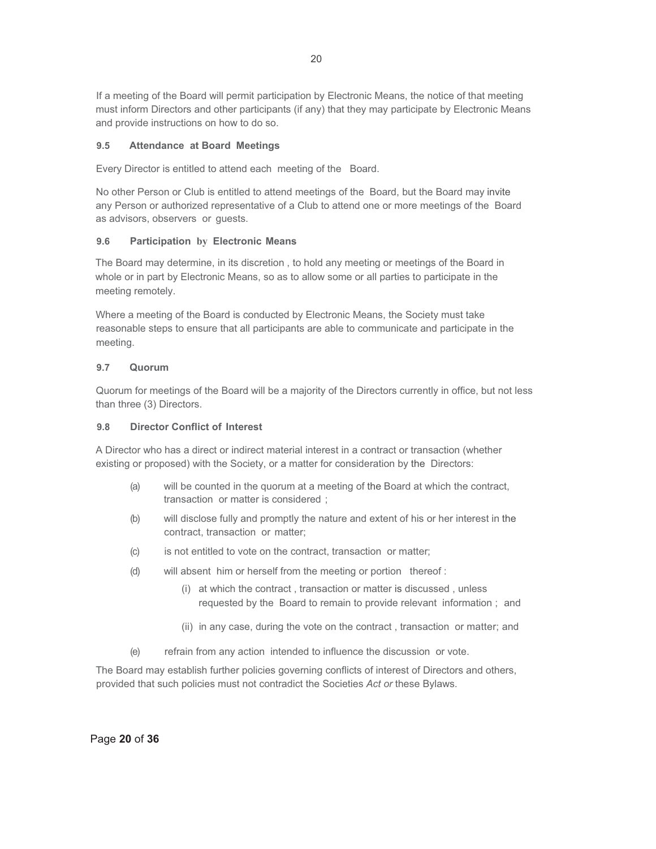If a meeting of the Board will permit participation by Electronic Means, the notice of that meeting must inform Directors and other participants (if any) that they may participate by Electronic Means and provide instructions on how to do so.

#### **9.5 Attendance at Board Meetings**

Every Director is entitled to attend each meeting of the Board.

No other Person or Club is entitled to attend meetings of the Board, but the Board may invite any Person or authorized representative of a Club to attend one or more meetings of the Board as advisors, observers or guests.

#### **9.6 Participation by Electronic Means**

The Board may determine, in its discretion , to hold any meeting or meetings of the Board in whole or in part by Electronic Means, so as to allow some or all parties to participate in the meeting remotely.

Where a meeting of the Board is conducted by Electronic Means, the Society must take reasonable steps to ensure that all participants are able to communicate and participate in the meeting.

#### **9.7 Quorum**

Quorum for meetings of the Board will be a majority of the Directors currently in office, but not less than three (3) Directors.

#### **9.8 Director Conflict of Interest**

A Director who has a direct or indirect material interest in a contract or transaction (whether existing or proposed) with the Society, or a matter for consideration by the Directors:

- (a) will be counted in the quorum at a meeting of the Board at which the contract, transaction or matter is considered ;
- (b) will disclose fully and promptly the nature and extent of his or her interest in the contract, transaction or matter;
- (c) is not entitled to vote on the contract, transaction or matter;
- (d) will absent him or herself from the meeting or portion thereof :
	- (i) at which the contract , transaction or matter is discussed , unless requested by the Board to remain to provide relevant information ; and
	- (ii) in any case, during the vote on the contract , transaction or matter; and
- (e) refrain from any action intended to influence the discussion or vote.

The Board may establish further policies governing conflicts of interest of Directors and others, provided that such policies must not contradict the Societies *Act or* these Bylaws.

Page **20** of **36**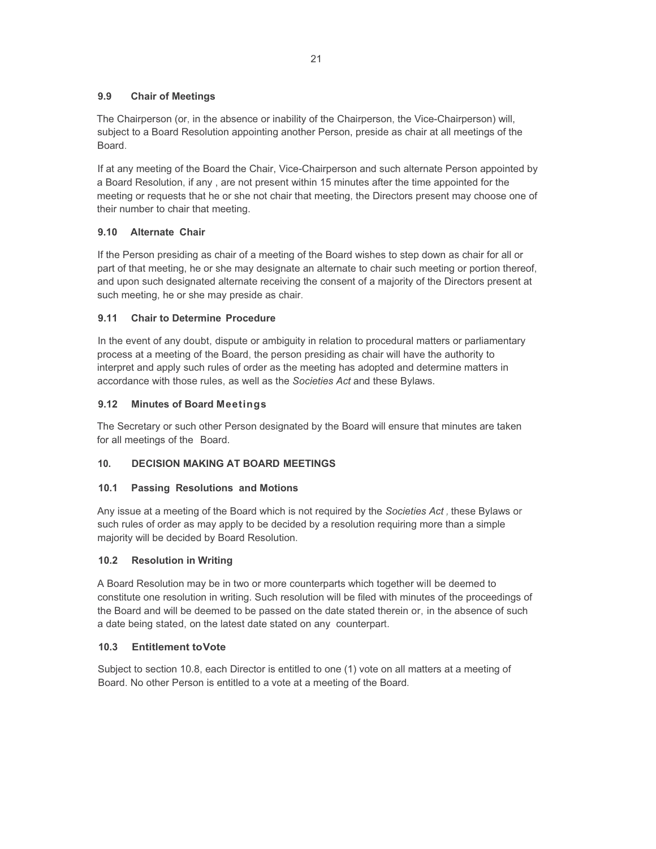## **9.9 Chair of Meetings**

The Chairperson (or, in the absence or inability of the Chairperson, the Vice-Chairperson) will, subject to a Board Resolution appointing another Person, preside as chair at all meetings of the Board.

If at any meeting of the Board the Chair, Vice-Chairperson and such alternate Person appointed by a Board Resolution, if any , are not present within 15 minutes after the time appointed for the meeting or requests that he or she not chair that meeting, the Directors present may choose one of their number to chair that meeting.

## **9.10 Alternate Chair**

If the Person presiding as chair of a meeting of the Board wishes to step down as chair for all or part of that meeting, he or she may designate an alternate to chair such meeting or portion thereof, and upon such designated alternate receiving the consent of a majority of the Directors present at such meeting, he or she may preside as chair.

## **9.11 Chair to Determine Procedure**

In the event of any doubt, dispute or ambiguity in relation to procedural matters or parliamentary process at a meeting of the Board, the person presiding as chair will have the authority to interpret and apply such rules of order as the meeting has adopted and determine matters in accordance with those rules, as well as the *Societies Act* and these Bylaws.

## **9.12 Minutes of Board Meetings**

The Secretary or such other Person designated by the Board will ensure that minutes are taken for all meetings of the Board.

## **10. DECISION MAKING AT BOARD MEETINGS**

## **10.1 Passing Resolutions and Motions**

Any issue at a meeting of the Board which is not required by the *Societies Act ,* these Bylaws or such rules of order as may apply to be decided by a resolution requiring more than a simple majority will be decided by Board Resolution.

## **10.2 Resolution in Writing**

A Board Resolution may be in two or more counterparts which together will be deemed to constitute one resolution in writing. Such resolution will be filed with minutes of the proceedings of the Board and will be deemed to be passed on the date stated therein or, in the absence of such a date being stated, on the latest date stated on any counterpart.

## **10.3 Entitlement to Vote**

Subject to section 10.8, each Director is entitled to one (1) vote on all matters at a meeting of Board. No other Person is entitled to a vote at a meeting of the Board.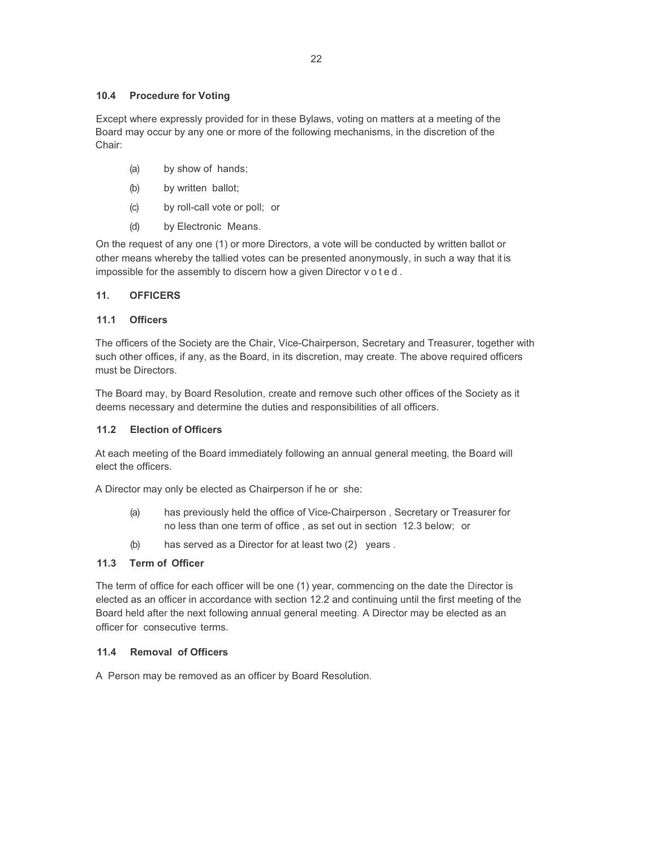#### **10.4 Procedure for Voting**

Except where expressly provided for in these Bylaws, voting on matters at a meeting of the Board may occur by any one or more of the following mechanisms, in the discretion of the Chair:

- (a) by show of hands;
- (b) by written ballot;
- (c) by roll-call vote or poll; or
- (d) by Electronic Means.

On the request of any one (1) or more Directors, a vote will be conducted by written ballot or other means whereby the tallied votes can be presented anonymously, in such a way that it is impossible for the assembly to discern how a given Director v o t e d .

## **11. OFFICERS**

#### **11.1 Officers**

The officers of the Society are the Chair, Vice-Chairperson, Secretary and Treasurer, together with such other offices, if any, as the Board, in its discretion, may create. The above required officers must be Directors.

The Board may, by Board Resolution, create and remove such other offices of the Society as it deems necessary and determine the duties and responsibilities of all officers.

## **11.2 Election of Officers**

At each meeting of the Board immediately following an annual general meeting, the Board will elect the officers.

A Director may only be elected as Chairperson if he or she:

- (a) has previously held the office of Vice-Chairperson , Secretary or Treasurer for no less than one term of office , as set out in section 12.3 below; or
- (b) has served as a Director for at least two (2) years .

## **11.3 Term of Officer**

The term of office for each officer will be one (1) year, commencing on the date the Director is elected as an officer in accordance with section 12.2 and continuing until the first meeting of the Board held after the next following annual general meeting. A Director may be elected as an officer for consecutive terms.

#### **11.4 Removal of Officers**

A Person may be removed as an officer by Board Resolution.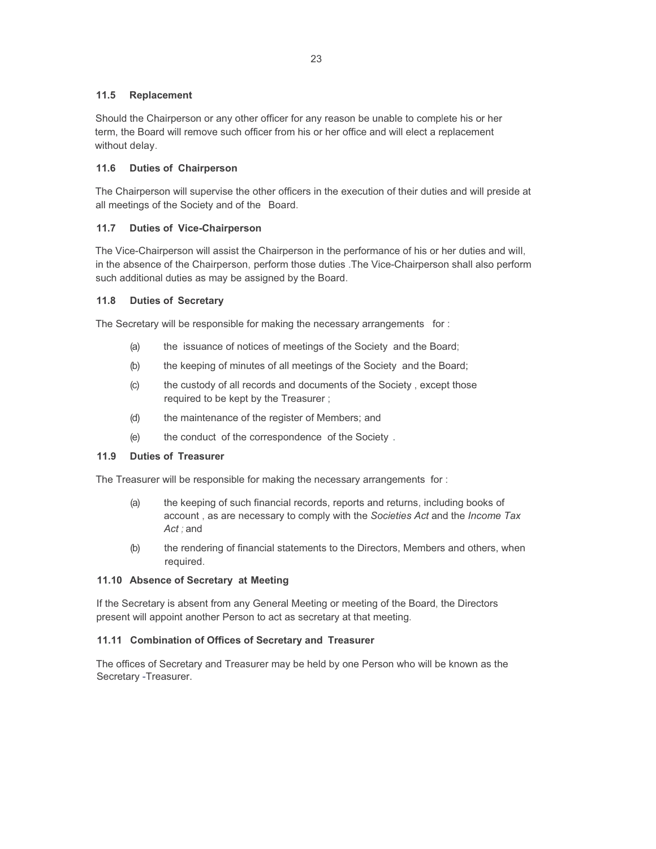#### **11.5 Replacement**

Should the Chairperson or any other officer for any reason be unable to complete his or her term, the Board will remove such officer from his or her office and will elect a replacement without delay.

#### **11.6 Duties of Chairperson**

The Chairperson will supervise the other officers in the execution of their duties and will preside at all meetings of the Society and of the Board.

#### **11.7 Duties of Vice-Chairperson**

The Vice-Chairperson will assist the Chairperson in the performance of his or her duties and will, in the absence of the Chairperson, perform those duties .The Vice-Chairperson shall also perform such additional duties as may be assigned by the Board.

#### **11.8 Duties of Secretary**

The Secretary will be responsible for making the necessary arrangements for :

- (a) the issuance of notices of meetings of the Society and the Board;
- (b) the keeping of minutes of all meetings of the Society and the Board;
- (c) the custody of all records and documents of the Society , except those required to be kept by the Treasurer ;
- (d) the maintenance of the register of Members; and
- (e) the conduct of the correspondence of the Society .

#### **11.9 Duties of Treasurer**

The Treasurer will be responsible for making the necessary arrangements for :

- (a) the keeping of such financial records, reports and returns, including books of account , as are necessary to comply with the *Societies Act* and the *Income Tax Act ;* and
- (b) the rendering of financial statements to the Directors, Members and others, when required.

## **11.10 Absence of Secretary at Meeting**

If the Secretary is absent from any General Meeting or meeting of the Board, the Directors present will appoint another Person to act as secretary at that meeting.

#### **11.11 Combination of Offices of Secretary and Treasurer**

The offices of Secretary and Treasurer may be held by one Person who will be known as the Secretary -Treasurer.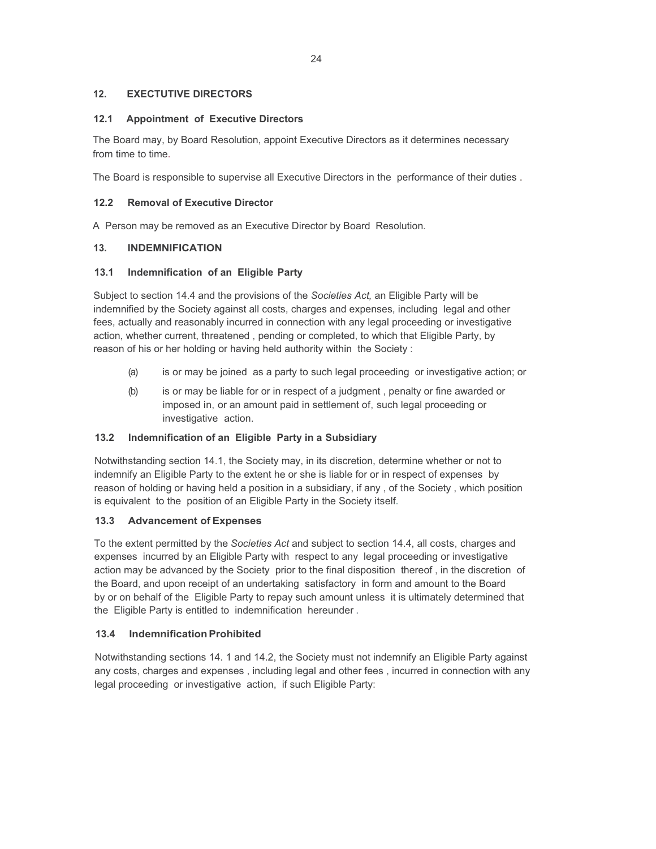## **12. EXECTUTIVE DIRECTORS**

#### **12.1 Appointment of Executive Directors**

The Board may, by Board Resolution, appoint Executive Directors as it determines necessary from time to time.

The Board is responsible to supervise all Executive Directors in the performance of their duties .

#### **12.2 Removal of Executive Director**

A Person may be removed as an Executive Director by Board Resolution.

#### **13. INDEMNIFICATION**

#### **13.1 Indemnification of an Eligible Party**

Subject to section 14.4 and the provisions of the *Societies Act,* an Eligible Party will be indemnified by the Society against all costs, charges and expenses, including legal and other fees, actually and reasonably incurred in connection with any legal proceeding or investigative action, whether current, threatened , pending or completed, to which that Eligible Party, by reason of his or her holding or having held authority within the Society :

- (a) is or may be joined as a party to such legal proceeding or investigative action; or
- (b) is or may be liable for or in respect of a judgment , penalty or fine awarded or imposed in, or an amount paid in settlement of, such legal proceeding or investigative action.

## **13.2 Indemnification of an Eligible Party in a Subsidiary**

Notwithstanding section 14.1, the Society may, in its discretion, determine whether or not to indemnify an Eligible Party to the extent he or she is liable for or in respect of expenses by reason of holding or having held a position in a subsidiary, if any , of the Society , which position is equivalent to the position of an Eligible Party in the Society itself.

#### **13.3 Advancement of Expenses**

To the extent permitted by the *Societies Act* and subject to section 14.4, all costs, charges and expenses incurred by an Eligible Party with respect to any legal proceeding or investigative action may be advanced by the Society prior to the final disposition thereof , in the discretion of the Board, and upon receipt of an undertaking satisfactory in form and amount to the Board by or on behalf of the Eligible Party to repay such amount unless it is ultimately determined that the Eligible Party is entitled to indemnification hereunder .

## **13.4 Indemnification Prohibited**

Notwithstanding sections 14. 1 and 14.2, the Society must not indemnify an Eligible Party against any costs, charges and expenses , including legal and other fees , incurred in connection with any legal proceeding or investigative action, if such Eligible Party: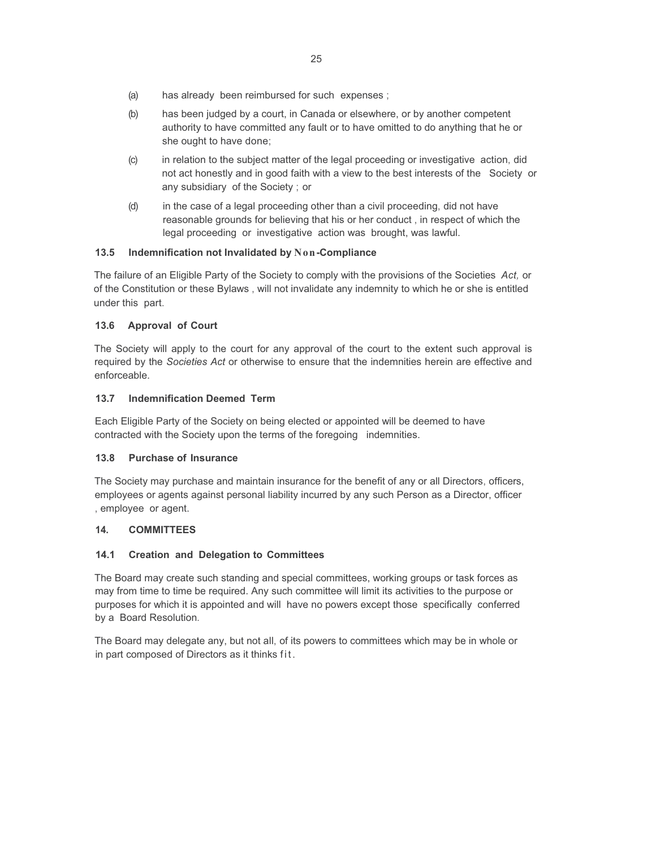- (a) has already been reimbursed for such expenses ;
- (b) has been judged by a court, in Canada or elsewhere, or by another competent authority to have committed any fault or to have omitted to do anything that he or she ought to have done;
- (c) in relation to the subject matter of the legal proceeding or investigative action, did not act honestly and in good faith with a view to the best interests of the Society or any subsidiary of the Society ; or
- (d) in the case of a legal proceeding other than a civil proceeding, did not have reasonable grounds for believing that his or her conduct , in respect of which the legal proceeding or investigative action was brought, was lawful.

#### **13.5 Indemnification not Invalidated by Non-Compliance**

The failure of an Eligible Party of the Society to comply with the provisions of the Societies *Act,* or of the Constitution or these Bylaws , will not invalidate any indemnity to which he or she is entitled under this part.

#### **13.6 Approval of Court**

The Society will apply to the court for any approval of the court to the extent such approval is required by the *Societies Act* or otherwise to ensure that the indemnities herein are effective and enforceable.

#### **13.7 Indemnification Deemed Term**

Each Eligible Party of the Society on being elected or appointed will be deemed to have contracted with the Society upon the terms of the foregoing indemnities.

#### **13.8 Purchase of Insurance**

The Society may purchase and maintain insurance for the benefit of any or all Directors, officers, employees or agents against personal liability incurred by any such Person as a Director, officer , employee or agent.

#### **14. COMMITTEES**

## **14.1 Creation and Delegation to Committees**

The Board may create such standing and special committees, working groups or task forces as may from time to time be required. Any such committee will limit its activities to the purpose or purposes for which it is appointed and will have no powers except those specifically conferred by a Board Resolution.

The Board may delegate any, but not all, of its powers to committees which may be in whole or in part composed of Directors as it thinks fit.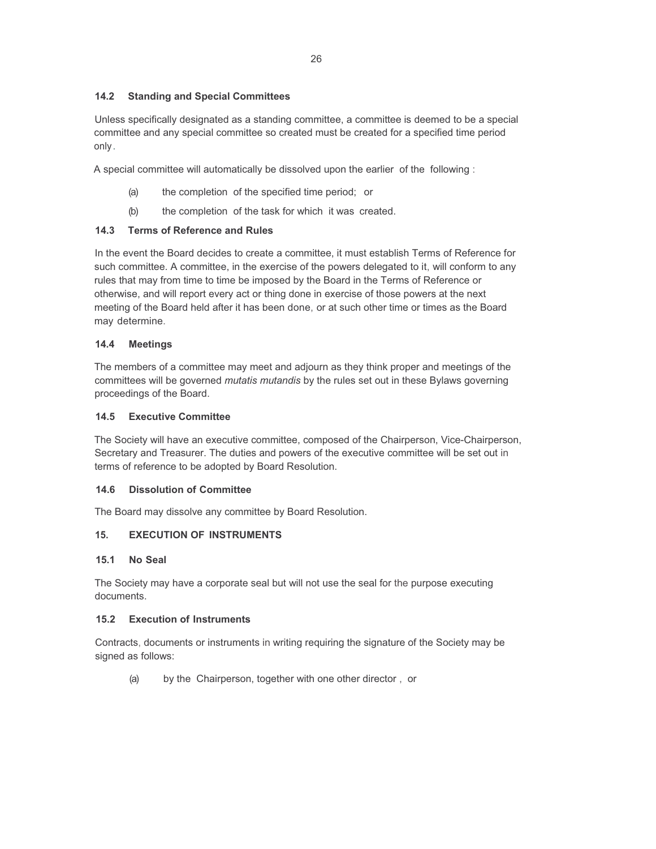#### **14.2 Standing and Special Committees**

Unless specifically designated as a standing committee, a committee is deemed to be a special committee and any special committee so created must be created for a specified time period only.

A special committee will automatically be dissolved upon the earlier of the following :

- (a) the completion of the specified time period; or
- (b) the completion of the task for which it was created.

#### **14.3 Terms of Reference and Rules**

In the event the Board decides to create a committee, it must establish Terms of Reference for such committee. A committee, in the exercise of the powers delegated to it, will conform to any rules that may from time to time be imposed by the Board in the Terms of Reference or otherwise, and will report every act or thing done in exercise of those powers at the next meeting of the Board held after it has been done, or at such other time or times as the Board may determine.

#### **14.4 Meetings**

The members of a committee may meet and adjourn as they think proper and meetings of the committees will be governed *mutatis mutandis* by the rules set out in these Bylaws governing proceedings of the Board.

#### **14.5 Executive Committee**

The Society will have an executive committee, composed of the Chairperson, Vice-Chairperson, Secretary and Treasurer. The duties and powers of the executive committee will be set out in terms of reference to be adopted by Board Resolution.

#### **14.6 Dissolution of Committee**

The Board may dissolve any committee by Board Resolution.

## **15. EXECUTION OF INSTRUMENTS**

#### **15.1 No Seal**

The Society may have a corporate seal but will not use the seal for the purpose executing documents.

#### **15.2 Execution of Instruments**

Contracts, documents or instruments in writing requiring the signature of the Society may be signed as follows:

(a) by the Chairperson, together with one other director , or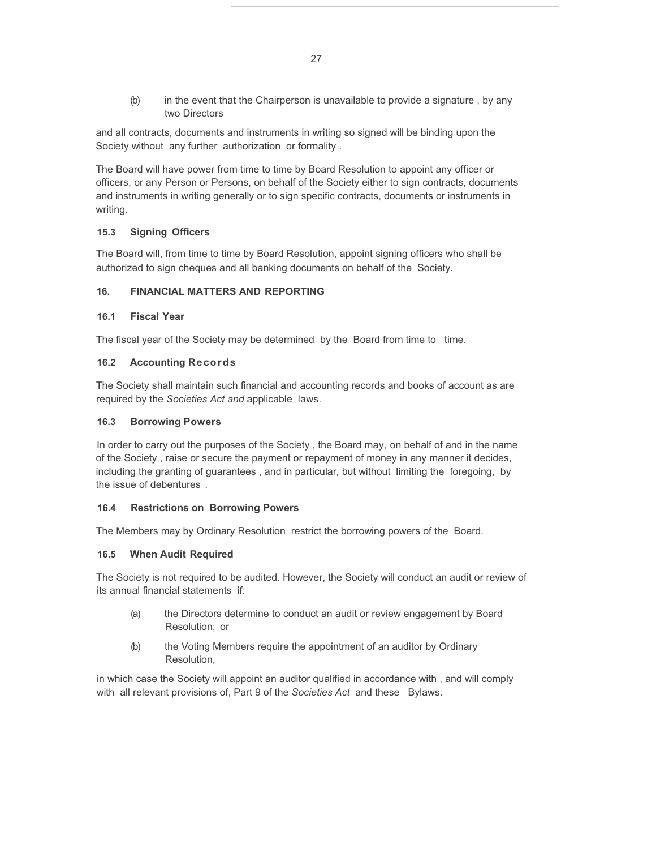(b) in the event that the Chairperson is unavailable to provide a signature , by any two Directors

and all contracts, documents and instruments in writing so signed will be binding upon the Society without any further authorization or formality .

The Board will have power from time to time by Board Resolution to appoint any officer or officers, or any Person or Persons, on behalf of the Society either to sign contracts, documents and instruments in writing generally or to sign specific contracts, documents or instruments in writing.

## **15.3 Signing Officers**

The Board will, from time to time by Board Resolution, appoint signing officers who shall be authorized to sign cheques and all banking documents on behalf of the Society.

#### **16. FINANCIAL MATTERS AND REPORTING**

#### **16.1 Fiscal Year**

The fiscal year of the Society may be determined by the Board from time to time.

#### **16.2 Accounting Records**

The Society shall maintain such financial and accounting records and books of account as are required by the *Societies Act and* applicable laws.

#### **16.3 Borrowing Powers**

In order to carry out the purposes of the Society , the Board may, on behalf of and in the name of the Society , raise or secure the payment or repayment of money in any manner it decides, including the granting of guarantees , and in particular, but without limiting the foregoing, by the issue of debentures .

#### **16.4 Restrictions on Borrowing Powers**

The Members may by Ordinary Resolution restrict the borrowing powers of the Board.

#### **16.5 When Audit Required**

The Society is not required to be audited. However, the Society will conduct an audit or review of its annual financial statements if:

- (a) the Directors determine to conduct an audit or review engagement by Board Resolution; or
- (b) the Voting Members require the appointment of an auditor by Ordinary Resolution,

in which case the Society will appoint an auditor qualified in accordance with , and will comply with all relevant provisions of, Part 9 of the *Societies Act* and these Bylaws.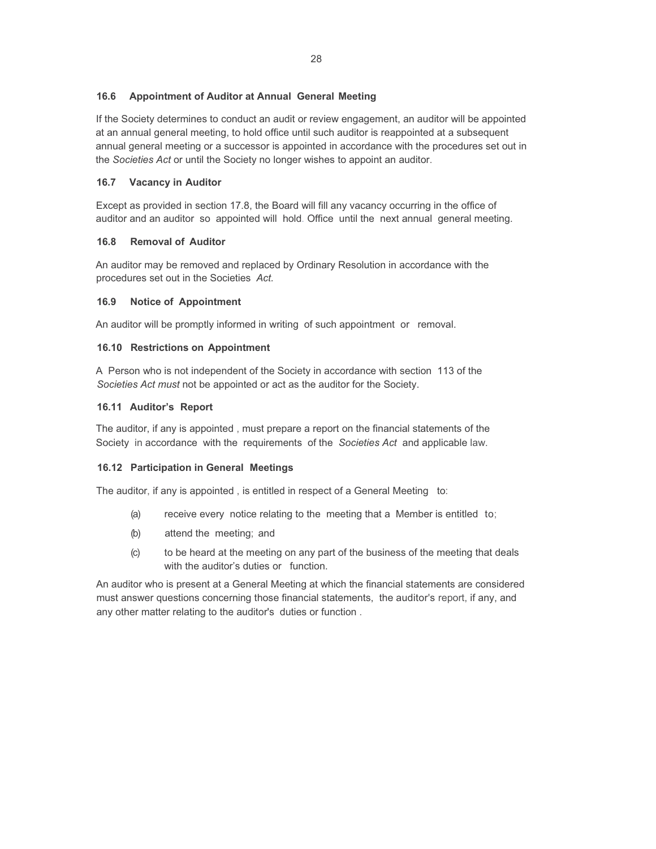## **16.6 Appointment of Auditor at Annual General Meeting**

If the Society determines to conduct an audit or review engagement, an auditor will be appointed at an annual general meeting, to hold office until such auditor is reappointed at a subsequent annual general meeting or a successor is appointed in accordance with the procedures set out in the *Societies Act* or until the Society no longer wishes to appoint an auditor.

## **16.7 Vacancy in Auditor**

Except as provided in section 17.8, the Board will fill any vacancy occurring in the office of auditor and an auditor so appointed will hold. Office until the next annual general meeting.

## **16.8 Removal of Auditor**

An auditor may be removed and replaced by Ordinary Resolution in accordance with the procedures set out in the Societies *Act.*

## **16.9 Notice of Appointment**

An auditor will be promptly informed in writing of such appointment or removal.

## **16.10 Restrictions on Appointment**

A Person who is not independent of the Society in accordance with section 113 of the *Societies Act must* not be appointed or act as the auditor for the Society.

## **16.11 Auditor's Report**

The auditor, if any is appointed , must prepare a report on the financial statements of the Society in accordance with the requirements of the *Societies Act* and applicable law.

## **16.12 Participation in General Meetings**

The auditor, if any is appointed , is entitled in respect of a General Meeting to:

- (a) receive every notice relating to the meeting that a Member is entitled to;
- (b) attend the meeting; and
- (c) to be heard at the meeting on any part of the business of the meeting that deals with the auditor's duties or function.

An auditor who is present at a General Meeting at which the financial statements are considered must answer questions concerning those financial statements, the auditor's report, if any, and any other matter relating to the auditor's duties or function .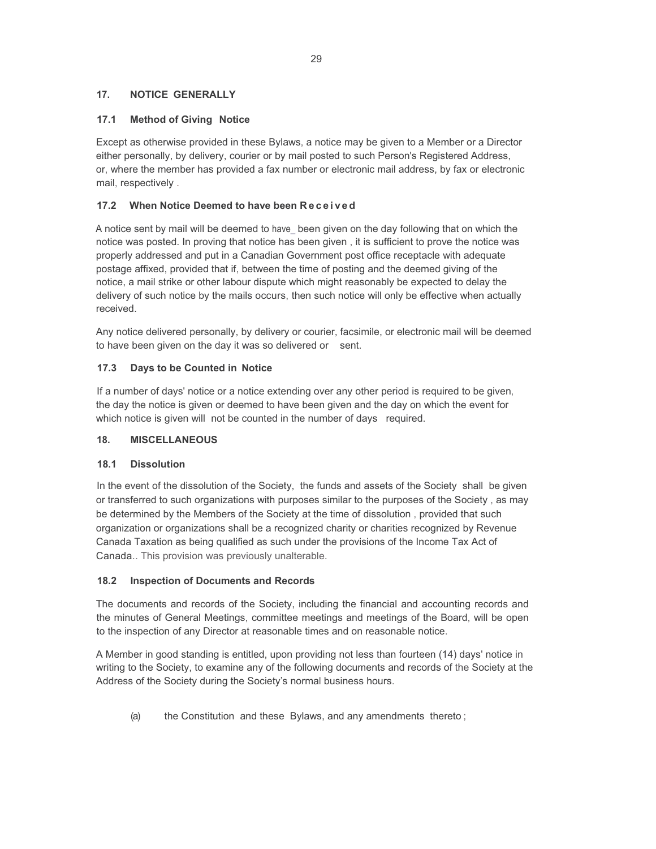## **17. NOTICE GENERALLY**

## **17.1 Method of Giving Notice**

Except as otherwise provided in these Bylaws, a notice may be given to a Member or a Director either personally, by delivery, courier or by mail posted to such Person's Registered Address, or, where the member has provided a fax number or electronic mail address, by fax or electronic mail, respectively .

## **17.2 When Notice Deemed to have been R e c e i v e d**

A notice sent by mail will be deemed to have been given on the day following that on which the notice was posted. In proving that notice has been given , it is sufficient to prove the notice was properly addressed and put in a Canadian Government post office receptacle with adequate postage affixed, provided that if, between the time of posting and the deemed giving of the notice, a mail strike or other labour dispute which might reasonably be expected to delay the delivery of such notice by the mails occurs, then such notice will only be effective when actually received.

Any notice delivered personally, by delivery or courier, facsimile, or electronic mail will be deemed to have been given on the day it was so delivered or sent.

## **17.3 Days to be Counted in Notice**

If a number of days' notice or a notice extending over any other period is required to be given, the day the notice is given or deemed to have been given and the day on which the event for which notice is given will not be counted in the number of days required.

## **18. MISCELLANEOUS**

## **18.1 Dissolution**

In the event of the dissolution of the Society, the funds and assets of the Society shall be given or transferred to such organizations with purposes similar to the purposes of the Society , as may be determined by the Members of the Society at the time of dissolution , provided that such organization or organizations shall be a recognized charity or charities recognized by Revenue Canada Taxation as being qualified as such under the provisions of the Income Tax Act of Canada.. This provision was previously unalterable.

## **18.2 Inspection of Documents and Records**

The documents and records of the Society, including the financial and accounting records and the minutes of General Meetings, committee meetings and meetings of the Board, will be open to the inspection of any Director at reasonable times and on reasonable notice.

A Member in good standing is entitled, upon providing not less than fourteen (14) days' notice in writing to the Society, to examine any of the following documents and records of the Society at the Address of the Society during the Society's normal business hours.

(a) the Constitution and these Bylaws, and any amendments thereto ;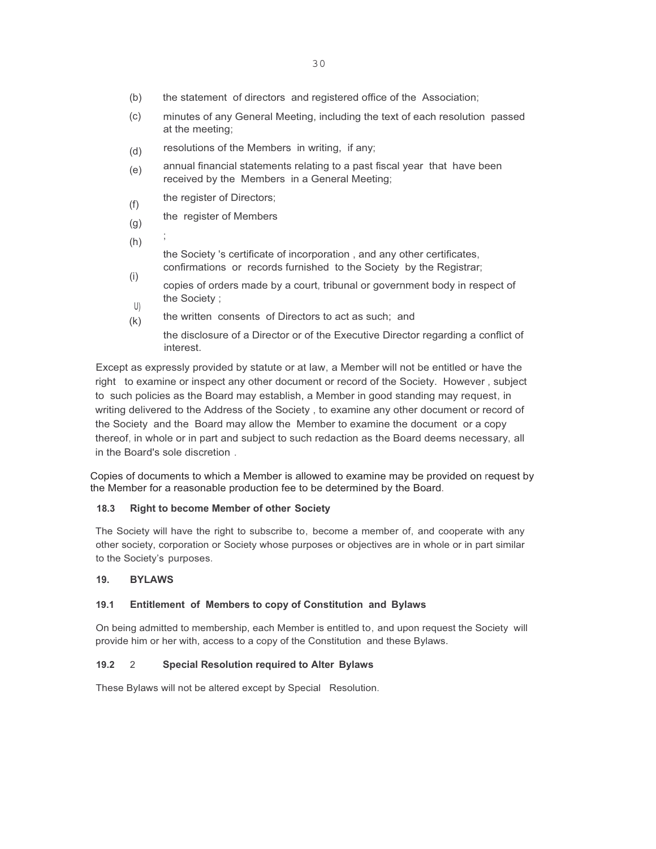- (b) the statement of directors and registered office of the Association;
- (c) minutes of any General Meeting, including the text of each resolution passed at the meeting;
- (d) resolutions of the Members in writing, if any;
- (e) annual financial statements relating to a past fiscal year that have been received by the Members in a General Meeting;
- (f) the register of Directors;
- (g) the register of Members
- (h) ; the Society 's certificate of incorporation , and any other certificates, confirmations or records furnished to the Society by the Registrar;
	- (i) U) copies of orders made by a court, tribunal or government body in respect of the Society ;
	- (k) the written consents of Directors to act as such; and

the disclosure of a Director or of the Executive Director regarding a conflict of interest.

Except as expressly provided by statute or at law, a Member will not be entitled or have the right to examine or inspect any other document or record of the Society. However , subject to such policies as the Board may establish, a Member in good standing may request, in writing delivered to the Address of the Society , to examine any other document or record of the Society and the Board may allow the Member to examine the document or a copy thereof, in whole or in part and subject to such redaction as the Board deems necessary, all in the Board's sole discretion .

Copies of documents to which a Member is allowed to examine may be provided on request by the Member for a reasonable production fee to be determined by the Board.

#### **18.3 Right to become Member of other Society**

The Society will have the right to subscribe to, become a member of, and cooperate with any other society, corporation or Society whose purposes or objectives are in whole or in part similar to the Society's purposes.

#### **19. BYLAWS**

#### **19.1 Entitlement of Members to copy of Constitution and Bylaws**

On being admitted to membership, each Member is entitled to, and upon request the Society will provide him or her with, access to a copy of the Constitution and these Bylaws.

#### **19.2** 2 **Special Resolution required to Alter Bylaws**

These Bylaws will not be altered except by Special Resolution.